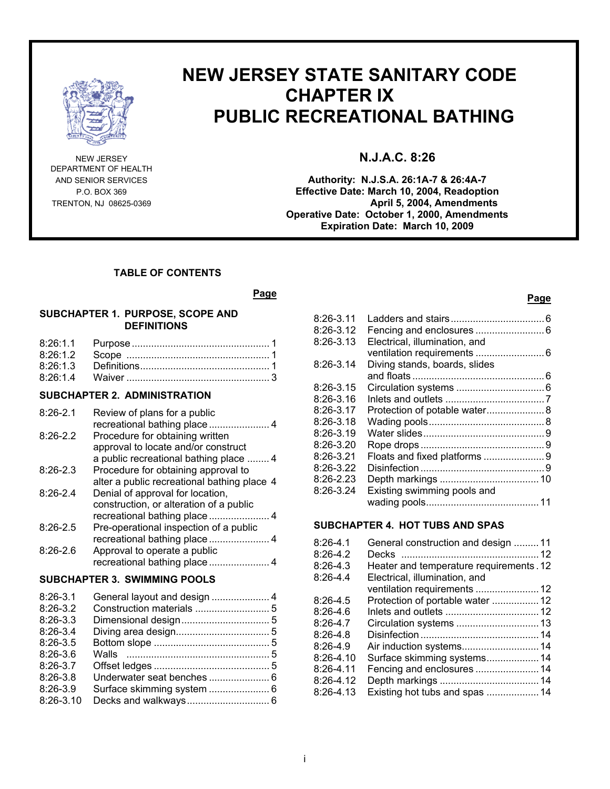

DEPARTMENT OF HEALTH

# **NEW JERSEY STATE SANITARY CODE CHAPTER IX PUBLIC RECREATIONAL BATHING**

# NEW JERSEY **N.J.A.C. 8:26**

AND SENIOR SERVICES **Authority: N.J.S.A. 26:1A-7 & 26:4A-7** P.O. BOX 369 **Effective Date: March 10, 2004, Readoption TRENTON, NJ 08625-0369 April 5, 2004, Amendments Operative Date: October 1, 2000, Amendments Expiration Date: March 10, 2009**

### **TABLE OF CONTENTS**

#### *Page* Page

#### **SUBCHAPTER 1. PURPOSE, SCOPE AND DEFINITIONS**

# **SUBCHAPTER 2. ADMINISTRATION**

| $8:26-2.1$ | Review of plans for a public                |                |
|------------|---------------------------------------------|----------------|
| $8:26-2.2$ | Procedure for obtaining written             |                |
|            | approval to locate and/or construct         |                |
|            | a public recreational bathing place  4      |                |
| $8:26-2.3$ | Procedure for obtaining approval to         |                |
|            | alter a public recreational bathing place 4 |                |
| $8:26-2.4$ | Denial of approval for location,            |                |
|            | construction, or alteration of a public     |                |
|            |                                             |                |
| $8:26-2.5$ | Pre-operational inspection of a public      |                |
|            |                                             |                |
| $8:26-2.6$ | Approval to operate a public                |                |
|            |                                             |                |
|            | <b>SUBCHAPTER 3. SWIMMING POOLS</b>         |                |
| 0.00 0 1   | Conoral lought and dooian                   | $\overline{ }$ |

| 8:26-3.1   |  |
|------------|--|
| $8:26-3.2$ |  |
| $8:26-3.3$ |  |
| $8:26-3.4$ |  |
| $8:26-3.5$ |  |
| $8:26-3.6$ |  |
| $8:26-3.7$ |  |
| $8:26-3.8$ |  |
| $8:26-3.9$ |  |
| 8:26-3.10  |  |
|            |  |

# **Page**

| 8:26-3.11 |                               |  |
|-----------|-------------------------------|--|
| 8:26-3.12 |                               |  |
| 8:26-3.13 | Electrical, illumination, and |  |
|           |                               |  |
| 8:26-3.14 | Diving stands, boards, slides |  |
|           |                               |  |
|           |                               |  |
| 8:26-3.15 |                               |  |
| 8:26-3.16 |                               |  |
| 8:26-3.17 | Protection of potable water 8 |  |
| 8:26-3.18 |                               |  |
| 8:26-3.19 |                               |  |
| 8:26-3.20 |                               |  |
| 8:26-3.21 |                               |  |
| 8:26-3.22 |                               |  |
| 8:26-2.23 |                               |  |
| 8:26-3.24 | Existing swimming pools and   |  |
|           |                               |  |
|           |                               |  |
|           |                               |  |

### **SUBCHAPTER 4. HOT TUBS AND SPAS**

| $8:26-4.1$<br>General construction and design 11<br>$8:26-4.2$<br>Decks |  |
|-------------------------------------------------------------------------|--|
| $8:26-4.3$<br>Heater and temperature requirements. 12                   |  |
| $8:26-4.4$<br>Electrical, illumination, and                             |  |
| ventilation requirements  12                                            |  |
| $8:26-4.5$<br>Protection of portable water  12                          |  |
| $8:26-4.6$                                                              |  |
| $8:26-4.7$                                                              |  |
| $8:26-4.8$                                                              |  |
| $8:26-4.9$                                                              |  |
| $8:26-4.10$                                                             |  |
| Fencing and enclosures  14<br>$8:26-4.11$                               |  |
| $8:26-4.12$                                                             |  |
| 8:26-4.13<br>Existing hot tubs and spas  14                             |  |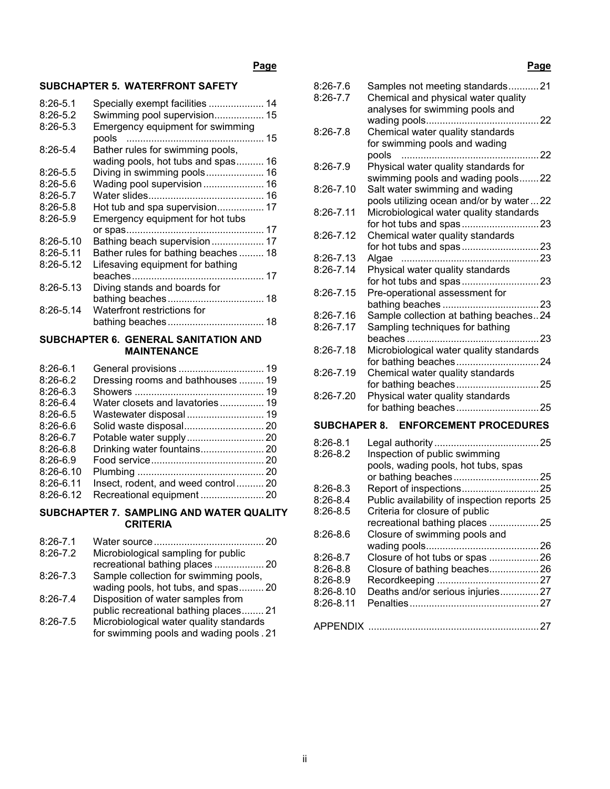# **Page**

# **SUBCHAPTER 5. WATERFRONT SAFETY**

| $8:26 - 5.1$<br>$8:26-5.2$ | Specially exempt facilities  14<br>Swimming pool supervision 15           |  |
|----------------------------|---------------------------------------------------------------------------|--|
| $8:26-5.3$                 | Emergency equipment for swimming<br>pools                                 |  |
| $8:26-5.4$                 | Bather rules for swimming pools,<br>wading pools, hot tubs and spas<br>16 |  |
| $8:26-5.5$                 | Diving in swimming pools 16                                               |  |
| $8:26-5.6$                 | Wading pool supervision 16                                                |  |
| $8:26-5.7$                 |                                                                           |  |
| $8:26-5.8$                 | Hot tub and spa supervision 17                                            |  |
| $8:26-5.9$                 | Emergency equipment for hot tubs                                          |  |
|                            |                                                                           |  |
| $8:26 - 5.10$              | Bathing beach supervision 17                                              |  |
| 8:26-5.11                  | Bather rules for bathing beaches 18                                       |  |
| 8:26-5.12                  | Lifesaving equipment for bathing                                          |  |
|                            |                                                                           |  |
| $8:26 - 5.13$              | Diving stands and boards for                                              |  |
|                            |                                                                           |  |
| $8:26 - 5.14$              | Waterfront restrictions for                                               |  |
|                            |                                                                           |  |

### **SUBCHAPTER 6. GENERAL SANITATION AND MAINTENANCE**

| $8:26-6.1$  |                                     |  |
|-------------|-------------------------------------|--|
| $8:26-6.2$  | Dressing rooms and bathhouses  19   |  |
| $8:26-6.3$  |                                     |  |
| $8:26-6.4$  | Water closets and lavatories 19     |  |
| $8:26-6.5$  | Wastewater disposal 19              |  |
| $8:26-6.6$  |                                     |  |
| $8:26-6.7$  |                                     |  |
| $8:26-6.8$  |                                     |  |
| $8:26-6.9$  |                                     |  |
| $8:26-6.10$ |                                     |  |
| $8:26-6.11$ | Insect, rodent, and weed control 20 |  |
| $8:26-6.12$ | Recreational equipment  20          |  |

### **SUBCHAPTER 7. SAMPLING AND WATER QUALITY CRITERIA**

| $8:26 - 7.1$ |                                          | 20 |
|--------------|------------------------------------------|----|
| $8:26 - 7.2$ | Microbiological sampling for public      |    |
|              | recreational bathing places  20          |    |
| $8:26 - 7.3$ | Sample collection for swimming pools,    |    |
|              | wading pools, hot tubs, and spas 20      |    |
| $8:26 - 7.4$ | Disposition of water samples from        |    |
|              | public recreational bathing places 21    |    |
| $8:26 - 7.5$ | Microbiological water quality standards  |    |
|              | for swimming pools and wading pools . 21 |    |

| 8:26-7.6<br>$8:26 - 7.7$ | Samples not meeting standards21<br>Chemical and physical water quality<br>analyses for swimming pools and |
|--------------------------|-----------------------------------------------------------------------------------------------------------|
| $8:26 - 7.8$             | Chemical water quality standards                                                                          |
|                          | for swimming pools and wading<br>22                                                                       |
| 8:26-7.9                 | Physical water quality standards for<br>swimming pools and wading pools22                                 |
| 8:26-7.10                | Salt water swimming and wading<br>pools utilizing ocean and/or by water22                                 |
| $8:26 - 7.11$            | Microbiological water quality standards                                                                   |
| $8:26 - 7.12$            | Chemical water quality standards                                                                          |
| 8:26-7.13                | Algae                                                                                                     |
| $8:26 - 7.14$            | Physical water quality standards                                                                          |
| $8:26 - 7.15$            | Pre-operational assessment for                                                                            |
| 8:26-7.16                | Sample collection at bathing beaches24                                                                    |
| 8:26-7.17                | Sampling techniques for bathing                                                                           |
| $8:26 - 7.18$            | beaches<br>. 23<br>Microbiological water quality standards                                                |
| 8:26-7.19                | Chemical water quality standards                                                                          |
|                          |                                                                                                           |
| 8:26-7.20                | Physical water quality standards                                                                          |
| <b>SUBCHAPER 8.</b>      | <b>ENFORCEMENT PROCEDURES</b>                                                                             |
| $8:26-8.1$               |                                                                                                           |
| 8:26-8.2                 | Inspection of public swimming<br>pools, wading pools, hot tubs, spas                                      |
|                          |                                                                                                           |
| $8:26-8.3$               | Report of inspections25                                                                                   |

| $8:26-8.4$    | Public availability of inspection reports 25 |  |
|---------------|----------------------------------------------|--|
| $8:26-8.5$    | Criteria for closure of public               |  |
|               |                                              |  |
| $8:26-8.6$    | Closure of swimming pools and                |  |
|               |                                              |  |
| $8:26-8.7$    |                                              |  |
| $8:26-8.8$    |                                              |  |
| $8:26-8.9$    |                                              |  |
| $8:26 - 8.10$ | Deaths and/or serious injuries27             |  |
| $8:26 - 8.11$ |                                              |  |
|               |                                              |  |
|               |                                              |  |
|               |                                              |  |

# **Page**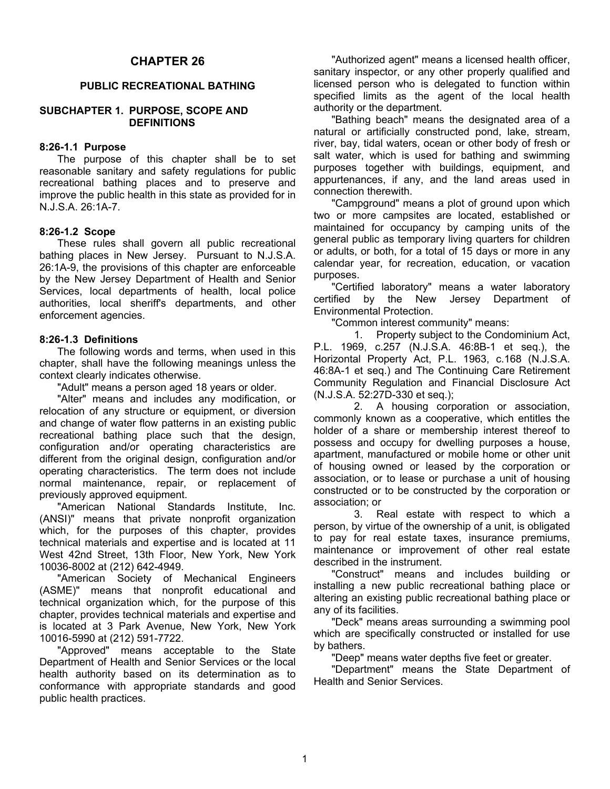# **CHAPTER 26**

### **PUBLIC RECREATIONAL BATHING**

### **SUBCHAPTER 1. PURPOSE, SCOPE AND DEFINITIONS**

### **8:26-1.1 Purpose**

 The purpose of this chapter shall be to set reasonable sanitary and safety regulations for public recreational bathing places and to preserve and improve the public health in this state as provided for in N.J.S.A. 26:1A-7.

### **8:26-1.2 Scope**

 These rules shall govern all public recreational bathing places in New Jersey. Pursuant to N.J.S.A. 26:1A-9, the provisions of this chapter are enforceable by the New Jersey Department of Health and Senior Services, local departments of health, local police authorities, local sheriff's departments, and other enforcement agencies.

### **8:26-1.3 Definitions**

 The following words and terms, when used in this chapter, shall have the following meanings unless the context clearly indicates otherwise.

"Adult" means a person aged 18 years or older.

 "Alter" means and includes any modification, or relocation of any structure or equipment, or diversion and change of water flow patterns in an existing public recreational bathing place such that the design, configuration and/or operating characteristics are different from the original design, configuration and/or operating characteristics. The term does not include normal maintenance, repair, or replacement of previously approved equipment.

 "American National Standards Institute, Inc. (ANSI)" means that private nonprofit organization which, for the purposes of this chapter, provides technical materials and expertise and is located at 11 West 42nd Street, 13th Floor, New York, New York 10036-8002 at (212) 642-4949.

 "American Society of Mechanical Engineers (ASME)" means that nonprofit educational and technical organization which, for the purpose of this chapter, provides technical materials and expertise and is located at 3 Park Avenue, New York, New York 10016-5990 at (212) 591-7722.

 "Approved" means acceptable to the State Department of Health and Senior Services or the local health authority based on its determination as to conformance with appropriate standards and good public health practices.

 "Authorized agent" means a licensed health officer, sanitary inspector, or any other properly qualified and licensed person who is delegated to function within specified limits as the agent of the local health authority or the department.

 "Bathing beach" means the designated area of a natural or artificially constructed pond, lake, stream, river, bay, tidal waters, ocean or other body of fresh or salt water, which is used for bathing and swimming purposes together with buildings, equipment, and appurtenances, if any, and the land areas used in connection therewith.

 "Campground" means a plot of ground upon which two or more campsites are located, established or maintained for occupancy by camping units of the general public as temporary living quarters for children or adults, or both, for a total of 15 days or more in any calendar year, for recreation, education, or vacation purposes.

 "Certified laboratory" means a water laboratory certified by the New Jersey Department of Environmental Protection.

"Common interest community" means:

 1. Property subject to the Condominium Act, P.L. 1969, c.257 (N.J.S.A. 46:8B-1 et seq.), the Horizontal Property Act, P.L. 1963, c.168 (N.J.S.A. 46:8A-1 et seq.) and The Continuing Care Retirement Community Regulation and Financial Disclosure Act (N.J.S.A. 52:27D-330 et seq.);

 2. A housing corporation or association, commonly known as a cooperative, which entitles the holder of a share or membership interest thereof to possess and occupy for dwelling purposes a house, apartment, manufactured or mobile home or other unit of housing owned or leased by the corporation or association, or to lease or purchase a unit of housing constructed or to be constructed by the corporation or association; or

 3. Real estate with respect to which a person, by virtue of the ownership of a unit, is obligated to pay for real estate taxes, insurance premiums, maintenance or improvement of other real estate described in the instrument.

 "Construct" means and includes building or installing a new public recreational bathing place or altering an existing public recreational bathing place or any of its facilities.

 "Deck" means areas surrounding a swimming pool which are specifically constructed or installed for use by bathers.

"Deep" means water depths five feet or greater.

 "Department" means the State Department of Health and Senior Services.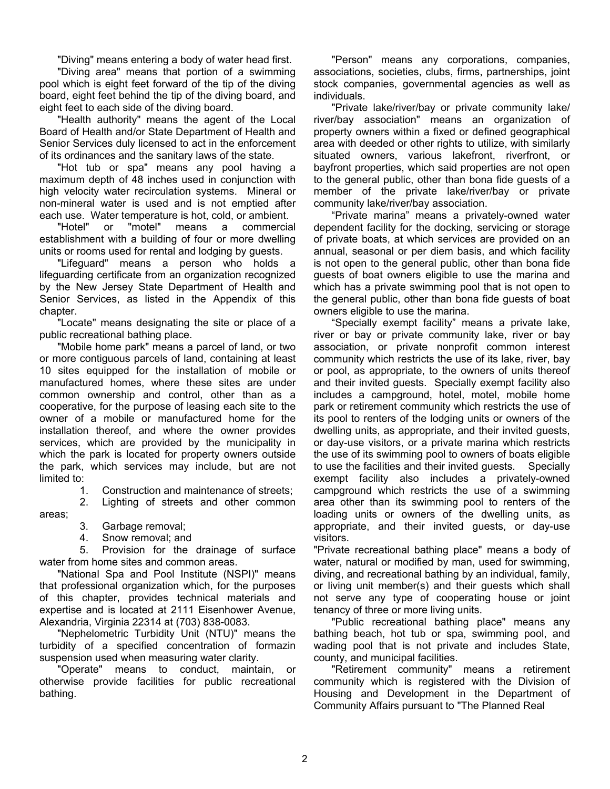"Diving" means entering a body of water head first.

 "Diving area" means that portion of a swimming pool which is eight feet forward of the tip of the diving board, eight feet behind the tip of the diving board, and eight feet to each side of the diving board.

 "Health authority" means the agent of the Local Board of Health and/or State Department of Health and Senior Services duly licensed to act in the enforcement of its ordinances and the sanitary laws of the state.

 "Hot tub or spa" means any pool having a maximum depth of 48 inches used in conjunction with high velocity water recirculation systems. Mineral or non-mineral water is used and is not emptied after each use. Water temperature is hot, cold, or ambient.

 "Hotel" or "motel" means a commercial establishment with a building of four or more dwelling units or rooms used for rental and lodging by guests.

 "Lifeguard" means a person who holds a lifeguarding certificate from an organization recognized by the New Jersey State Department of Health and Senior Services, as listed in the Appendix of this chapter.

 "Locate" means designating the site or place of a public recreational bathing place.

 "Mobile home park" means a parcel of land, or two or more contiguous parcels of land, containing at least 10 sites equipped for the installation of mobile or manufactured homes, where these sites are under common ownership and control, other than as a cooperative, for the purpose of leasing each site to the owner of a mobile or manufactured home for the installation thereof, and where the owner provides services, which are provided by the municipality in which the park is located for property owners outside the park, which services may include, but are not limited to:

1. Construction and maintenance of streets;

 2. Lighting of streets and other common areas;

- 3. Garbage removal;
- 4. Snow removal; and

 5. Provision for the drainage of surface water from home sites and common areas.

 "National Spa and Pool Institute (NSPI)" means that professional organization which, for the purposes of this chapter, provides technical materials and expertise and is located at 2111 Eisenhower Avenue, Alexandria, Virginia 22314 at (703) 838-0083.

 "Nephelometric Turbidity Unit (NTU)" means the turbidity of a specified concentration of formazin suspension used when measuring water clarity.

 "Operate" means to conduct, maintain, or otherwise provide facilities for public recreational bathing.

 "Person" means any corporations, companies, associations, societies, clubs, firms, partnerships, joint stock companies, governmental agencies as well as individuals.

 "Private lake/river/bay or private community lake/ river/bay association" means an organization of property owners within a fixed or defined geographical area with deeded or other rights to utilize, with similarly situated owners, various lakefront, riverfront, or bayfront properties, which said properties are not open to the general public, other than bona fide guests of a member of the private lake/river/bay or private community lake/river/bay association.

 "Private marina" means a privately-owned water dependent facility for the docking, servicing or storage of private boats, at which services are provided on an annual, seasonal or per diem basis, and which facility is not open to the general public, other than bona fide guests of boat owners eligible to use the marina and which has a private swimming pool that is not open to the general public, other than bona fide guests of boat owners eligible to use the marina.

 "Specially exempt facility" means a private lake, river or bay or private community lake, river or bay association, or private nonprofit common interest community which restricts the use of its lake, river, bay or pool, as appropriate, to the owners of units thereof and their invited guests. Specially exempt facility also includes a campground, hotel, motel, mobile home park or retirement community which restricts the use of its pool to renters of the lodging units or owners of the dwelling units, as appropriate, and their invited guests, or day-use visitors, or a private marina which restricts the use of its swimming pool to owners of boats eligible to use the facilities and their invited guests. Specially exempt facility also includes a privately-owned campground which restricts the use of a swimming area other than its swimming pool to renters of the loading units or owners of the dwelling units, as appropriate, and their invited guests, or day-use visitors.

"Private recreational bathing place" means a body of water, natural or modified by man, used for swimming, diving, and recreational bathing by an individual, family, or living unit member(s) and their guests which shall not serve any type of cooperating house or joint tenancy of three or more living units.

 "Public recreational bathing place" means any bathing beach, hot tub or spa, swimming pool, and wading pool that is not private and includes State, county, and municipal facilities.

 "Retirement community" means a retirement community which is registered with the Division of Housing and Development in the Department of Community Affairs pursuant to "The Planned Real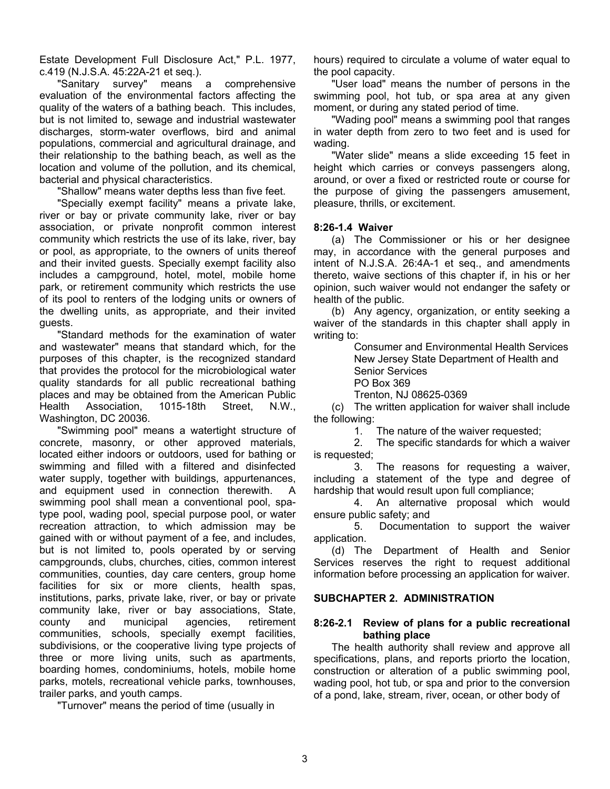Estate Development Full Disclosure Act," P.L. 1977, c.419 (N.J.S.A. 45:22A-21 et seq.).

 "Sanitary survey" means a comprehensive evaluation of the environmental factors affecting the quality of the waters of a bathing beach. This includes, but is not limited to, sewage and industrial wastewater discharges, storm-water overflows, bird and animal populations, commercial and agricultural drainage, and their relationship to the bathing beach, as well as the location and volume of the pollution, and its chemical, bacterial and physical characteristics.

"Shallow" means water depths less than five feet.

 "Specially exempt facility" means a private lake, river or bay or private community lake, river or bay association, or private nonprofit common interest community which restricts the use of its lake, river, bay or pool, as appropriate, to the owners of units thereof and their invited guests. Specially exempt facility also includes a campground, hotel, motel, mobile home park, or retirement community which restricts the use of its pool to renters of the lodging units or owners of the dwelling units, as appropriate, and their invited guests.

 "Standard methods for the examination of water and wastewater" means that standard which, for the purposes of this chapter, is the recognized standard that provides the protocol for the microbiological water quality standards for all public recreational bathing places and may be obtained from the American Public Health Association, 1015-18th Street, N.W., Washington, DC 20036.

 "Swimming pool" means a watertight structure of concrete, masonry, or other approved materials, located either indoors or outdoors, used for bathing or swimming and filled with a filtered and disinfected water supply, together with buildings, appurtenances, and equipment used in connection therewith. A swimming pool shall mean a conventional pool, spatype pool, wading pool, special purpose pool, or water recreation attraction, to which admission may be gained with or without payment of a fee, and includes, but is not limited to, pools operated by or serving campgrounds, clubs, churches, cities, common interest communities, counties, day care centers, group home facilities for six or more clients, health spas, institutions, parks, private lake, river, or bay or private community lake, river or bay associations, State, county and municipal agencies, retirement communities, schools, specially exempt facilities, subdivisions, or the cooperative living type projects of three or more living units, such as apartments, boarding homes, condominiums, hotels, mobile home parks, motels, recreational vehicle parks, townhouses, trailer parks, and youth camps.

"Turnover" means the period of time (usually in

hours) required to circulate a volume of water equal to the pool capacity.

 "User load" means the number of persons in the swimming pool, hot tub, or spa area at any given moment, or during any stated period of time.

 "Wading pool" means a swimming pool that ranges in water depth from zero to two feet and is used for wading.

 "Water slide" means a slide exceeding 15 feet in height which carries or conveys passengers along, around, or over a fixed or restricted route or course for the purpose of giving the passengers amusement, pleasure, thrills, or excitement.

### **8:26-1.4 Waiver**

 (a) The Commissioner or his or her designee may, in accordance with the general purposes and intent of N.J.S.A. 26:4A-1 et seq., and amendments thereto, waive sections of this chapter if, in his or her opinion, such waiver would not endanger the safety or health of the public.

 (b) Any agency, organization, or entity seeking a waiver of the standards in this chapter shall apply in writing to:

> Consumer and Environmental Health Services New Jersey State Department of Health and Senior Services PO Box 369

Trenton, NJ 08625-0369

 (c) The written application for waiver shall include the following:

1. The nature of the waiver requested;

 2. The specific standards for which a waiver is requested;

 3. The reasons for requesting a waiver, including a statement of the type and degree of hardship that would result upon full compliance;

 4. An alternative proposal which would ensure public safety; and

 5. Documentation to support the waiver application.

 (d) The Department of Health and Senior Services reserves the right to request additional information before processing an application for waiver.

### **SUBCHAPTER 2. ADMINISTRATION**

### **8:26-2.1 Review of plans for a public recreational bathing place**

 The health authority shall review and approve all specifications, plans, and reports priorto the location, construction or alteration of a public swimming pool, wading pool, hot tub, or spa and prior to the conversion of a pond, lake, stream, river, ocean, or other body of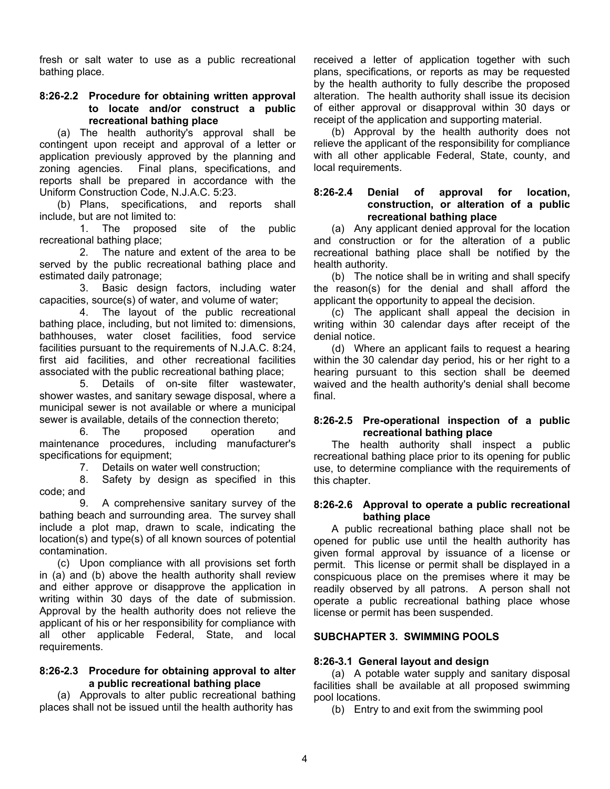fresh or salt water to use as a public recreational bathing place.

### **8:26-2.2 Procedure for obtaining written approval to locate and/or construct a public recreational bathing place**

 (a) The health authority's approval shall be contingent upon receipt and approval of a letter or application previously approved by the planning and zoning agencies. Final plans, specifications, and reports shall be prepared in accordance with the Uniform Construction Code, N.J.A.C. 5:23.

 (b) Plans, specifications, and reports shall include, but are not limited to:

 1. The proposed site of the public recreational bathing place;

 2. The nature and extent of the area to be served by the public recreational bathing place and estimated daily patronage;

 3. Basic design factors, including water capacities, source(s) of water, and volume of water;

 4. The layout of the public recreational bathing place, including, but not limited to: dimensions, bathhouses, water closet facilities, food service facilities pursuant to the requirements of N.J.A.C. 8:24, first aid facilities, and other recreational facilities associated with the public recreational bathing place;

 5. Details of on-site filter wastewater, shower wastes, and sanitary sewage disposal, where a municipal sewer is not available or where a municipal sewer is available, details of the connection thereto;

 6. The proposed operation and maintenance procedures, including manufacturer's specifications for equipment;

7. Details on water well construction;

 8. Safety by design as specified in this code; and

 9. A comprehensive sanitary survey of the bathing beach and surrounding area. The survey shall include a plot map, drawn to scale, indicating the location(s) and type(s) of all known sources of potential contamination.

 (c) Upon compliance with all provisions set forth in (a) and (b) above the health authority shall review and either approve or disapprove the application in writing within 30 days of the date of submission. Approval by the health authority does not relieve the applicant of his or her responsibility for compliance with all other applicable Federal, State, and local requirements.

# **8:26-2.3 Procedure for obtaining approval to alter a public recreational bathing place**

 (a) Approvals to alter public recreational bathing places shall not be issued until the health authority has

received a letter of application together with such plans, specifications, or reports as may be requested by the health authority to fully describe the proposed alteration. The health authority shall issue its decision of either approval or disapproval within 30 days or receipt of the application and supporting material.

 (b) Approval by the health authority does not relieve the applicant of the responsibility for compliance with all other applicable Federal, State, county, and local requirements.

### **8:26-2.4 Denial of approval for location, construction, or alteration of a public recreational bathing place**

 (a) Any applicant denied approval for the location and construction or for the alteration of a public recreational bathing place shall be notified by the health authority.

 (b) The notice shall be in writing and shall specify the reason(s) for the denial and shall afford the applicant the opportunity to appeal the decision.

 (c) The applicant shall appeal the decision in writing within 30 calendar days after receipt of the denial notice.

 (d) Where an applicant fails to request a hearing within the 30 calendar day period, his or her right to a hearing pursuant to this section shall be deemed waived and the health authority's denial shall become final.

# **8:26-2.5 Pre-operational inspection of a public recreational bathing place**

 The health authority shall inspect a public recreational bathing place prior to its opening for public use, to determine compliance with the requirements of this chapter.

# **8:26-2.6 Approval to operate a public recreational bathing place**

 A public recreational bathing place shall not be opened for public use until the health authority has given formal approval by issuance of a license or permit. This license or permit shall be displayed in a conspicuous place on the premises where it may be readily observed by all patrons. A person shall not operate a public recreational bathing place whose license or permit has been suspended.

# **SUBCHAPTER 3. SWIMMING POOLS**

# **8:26-3.1 General layout and design**

 (a) A potable water supply and sanitary disposal facilities shall be available at all proposed swimming pool locations.

(b) Entry to and exit from the swimming pool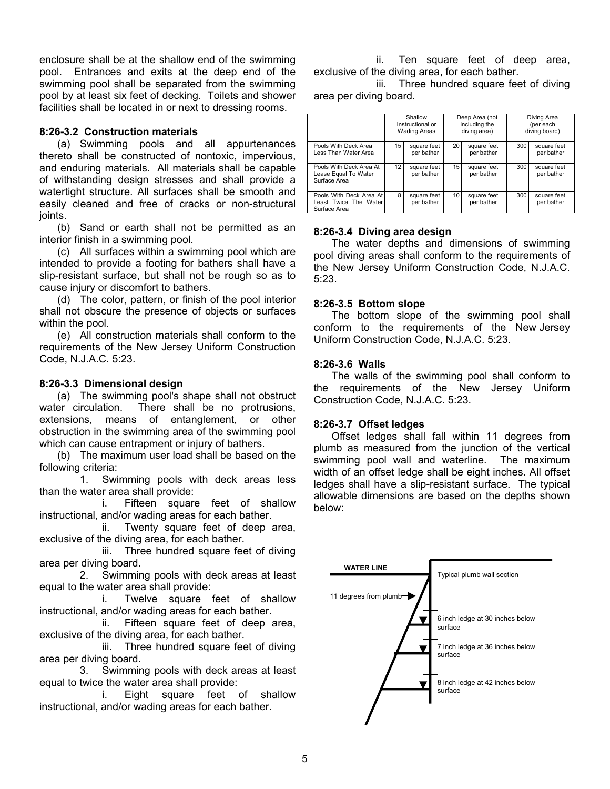enclosure shall be at the shallow end of the swimming pool. Entrances and exits at the deep end of the swimming pool shall be separated from the swimming pool by at least six feet of decking. Toilets and shower facilities shall be located in or next to dressing rooms.

# **8:26-3.2 Construction materials**

 (a) Swimming pools and all appurtenances thereto shall be constructed of nontoxic, impervious, and enduring materials. All materials shall be capable of withstanding design stresses and shall provide a watertight structure. All surfaces shall be smooth and easily cleaned and free of cracks or non-structural joints.

 (b) Sand or earth shall not be permitted as an interior finish in a swimming pool.

 (c) All surfaces within a swimming pool which are intended to provide a footing for bathers shall have a slip-resistant surface, but shall not be rough so as to cause injury or discomfort to bathers.

 (d) The color, pattern, or finish of the pool interior shall not obscure the presence of objects or surfaces within the pool.

 (e) All construction materials shall conform to the requirements of the New Jersey Uniform Construction Code, N.J.A.C. 5:23.

# **8:26-3.3 Dimensional design**

 (a) The swimming pool's shape shall not obstruct water circulation. There shall be no protrusions, extensions, means of entanglement, or other obstruction in the swimming area of the swimming pool which can cause entrapment or injury of bathers.

 (b) The maximum user load shall be based on the following criteria:

 1. Swimming pools with deck areas less than the water area shall provide:

 i. Fifteen square feet of shallow instructional, and/or wading areas for each bather.

 ii. Twenty square feet of deep area, exclusive of the diving area, for each bather.

 iii. Three hundred square feet of diving area per diving board.

 2. Swimming pools with deck areas at least equal to the water area shall provide:

 i. Twelve square feet of shallow instructional, and/or wading areas for each bather.

 ii. Fifteen square feet of deep area, exclusive of the diving area, for each bather.

 iii. Three hundred square feet of diving area per diving board.

 3. Swimming pools with deck areas at least equal to twice the water area shall provide:

 i. Eight square feet of shallow instructional, and/or wading areas for each bather.

 ii. Ten square feet of deep area, exclusive of the diving area, for each bather.

 iii. Three hundred square feet of diving area per diving board.

|                                                                  | Shallow<br>Instructional or<br><b>Wading Areas</b> |                           | Deep Area (not<br>including the<br>diving area) |                           | Diving Area<br>(per each<br>diving board) |                           |
|------------------------------------------------------------------|----------------------------------------------------|---------------------------|-------------------------------------------------|---------------------------|-------------------------------------------|---------------------------|
| Pools With Deck Area<br>Less Than Water Area                     | 15                                                 | square feet<br>per bather | 20                                              | square feet<br>per bather | 300                                       | square feet<br>per bather |
| Pools With Deck Area At<br>Lease Equal To Water<br>Surface Area  | 12 <sub>1</sub>                                    | square feet<br>per bather | 15                                              | square feet<br>per bather | 300                                       | square feet<br>per bather |
| Pools With Deck Area At<br>Least Twice The Water<br>Surface Area | 8                                                  | square feet<br>per bather | 10 <sup>1</sup>                                 | square feet<br>per bather | 300                                       | square feet<br>per bather |

# **8:26-3.4 Diving area design**

 The water depths and dimensions of swimming pool diving areas shall conform to the requirements of the New Jersey Uniform Construction Code, N.J.A.C. 5:23.

# **8:26-3.5 Bottom slope**

 The bottom slope of the swimming pool shall conform to the requirements of the New Jersey Uniform Construction Code, N.J.A.C. 5:23.

# **8:26-3.6 Walls**

 The walls of the swimming pool shall conform to the requirements of the New Jersey Uniform Construction Code, N.J.A.C. 5:23.

# **8:26-3.7 Offset ledges**

 Offset ledges shall fall within 11 degrees from plumb as measured from the junction of the vertical swimming pool wall and waterline. The maximum width of an offset ledge shall be eight inches. All offset ledges shall have a slip-resistant surface. The typical allowable dimensions are based on the depths shown below:

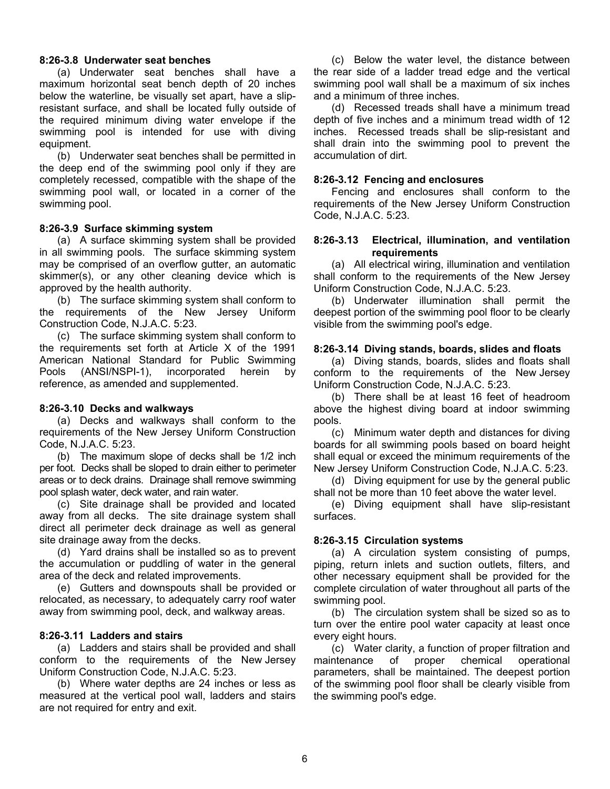### **8:26-3.8 Underwater seat benches**

 (a) Underwater seat benches shall have a maximum horizontal seat bench depth of 20 inches below the waterline, be visually set apart, have a slipresistant surface, and shall be located fully outside of the required minimum diving water envelope if the swimming pool is intended for use with diving equipment.

 (b) Underwater seat benches shall be permitted in the deep end of the swimming pool only if they are completely recessed, compatible with the shape of the swimming pool wall, or located in a corner of the swimming pool.

### **8:26-3.9 Surface skimming system**

 (a) A surface skimming system shall be provided in all swimming pools. The surface skimming system may be comprised of an overflow gutter, an automatic skimmer(s), or any other cleaning device which is approved by the health authority.

 (b) The surface skimming system shall conform to the requirements of the New Jersey Uniform Construction Code, N.J.A.C. 5:23.

 (c) The surface skimming system shall conform to the requirements set forth at Article X of the 1991 American National Standard for Public Swimming Pools (ANSI/NSPI-1), incorporated herein by reference, as amended and supplemented.

### **8:26-3.10 Decks and walkways**

 (a) Decks and walkways shall conform to the requirements of the New Jersey Uniform Construction Code, N.J.A.C. 5:23.

 (b) The maximum slope of decks shall be 1/2 inch per foot. Decks shall be sloped to drain either to perimeter areas or to deck drains. Drainage shall remove swimming pool splash water, deck water, and rain water.

 (c) Site drainage shall be provided and located away from all decks. The site drainage system shall direct all perimeter deck drainage as well as general site drainage away from the decks.

 (d) Yard drains shall be installed so as to prevent the accumulation or puddling of water in the general area of the deck and related improvements.

 (e) Gutters and downspouts shall be provided or relocated, as necessary, to adequately carry roof water away from swimming pool, deck, and walkway areas.

# **8:26-3.11 Ladders and stairs**

 (a) Ladders and stairs shall be provided and shall conform to the requirements of the New Jersey Uniform Construction Code, N.J.A.C. 5:23.

 (b) Where water depths are 24 inches or less as measured at the vertical pool wall, ladders and stairs are not required for entry and exit.

 (c) Below the water level, the distance between the rear side of a ladder tread edge and the vertical swimming pool wall shall be a maximum of six inches and a minimum of three inches.

 (d) Recessed treads shall have a minimum tread depth of five inches and a minimum tread width of 12 inches. Recessed treads shall be slip-resistant and shall drain into the swimming pool to prevent the accumulation of dirt.

### **8:26-3.12 Fencing and enclosures**

 Fencing and enclosures shall conform to the requirements of the New Jersey Uniform Construction Code, N.J.A.C. 5:23.

### **8:26-3.13 Electrical, illumination, and ventilation requirements**

 (a) All electrical wiring, illumination and ventilation shall conform to the requirements of the New Jersey Uniform Construction Code, N.J.A.C. 5:23.

 (b) Underwater illumination shall permit the deepest portion of the swimming pool floor to be clearly visible from the swimming pool's edge.

### **8:26-3.14 Diving stands, boards, slides and floats**

 (a) Diving stands, boards, slides and floats shall conform to the requirements of the New Jersey Uniform Construction Code, N.J.A.C. 5:23.

 (b) There shall be at least 16 feet of headroom above the highest diving board at indoor swimming pools.

 (c) Minimum water depth and distances for diving boards for all swimming pools based on board height shall equal or exceed the minimum requirements of the New Jersey Uniform Construction Code, N.J.A.C. 5:23.

 (d) Diving equipment for use by the general public shall not be more than 10 feet above the water level.

 (e) Diving equipment shall have slip-resistant surfaces.

# **8:26-3.15 Circulation systems**

 (a) A circulation system consisting of pumps, piping, return inlets and suction outlets, filters, and other necessary equipment shall be provided for the complete circulation of water throughout all parts of the swimming pool.

 (b) The circulation system shall be sized so as to turn over the entire pool water capacity at least once every eight hours.

 (c) Water clarity, a function of proper filtration and maintenance of proper chemical operational parameters, shall be maintained. The deepest portion of the swimming pool floor shall be clearly visible from the swimming pool's edge.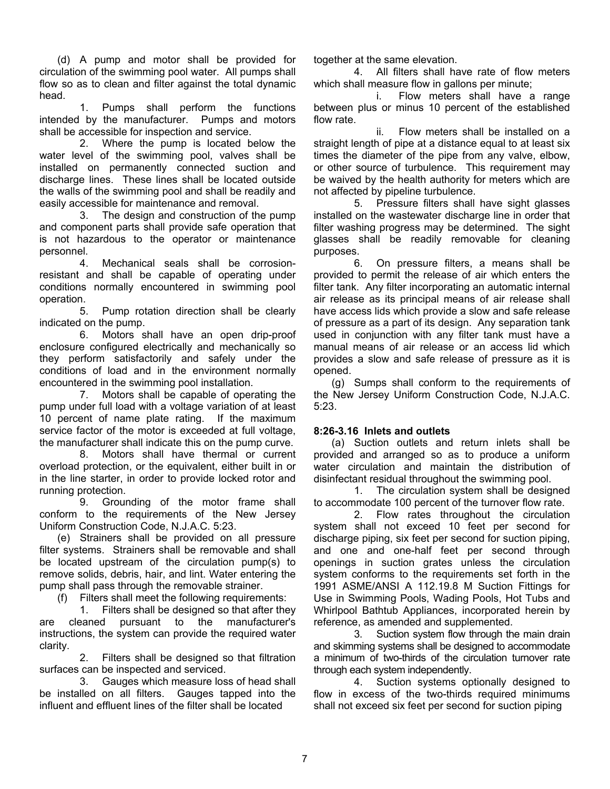(d) A pump and motor shall be provided for circulation of the swimming pool water. All pumps shall flow so as to clean and filter against the total dynamic head.

 1. Pumps shall perform the functions intended by the manufacturer. Pumps and motors shall be accessible for inspection and service.

 2. Where the pump is located below the water level of the swimming pool, valves shall be installed on permanently connected suction and discharge lines. These lines shall be located outside the walls of the swimming pool and shall be readily and easily accessible for maintenance and removal.

 3. The design and construction of the pump and component parts shall provide safe operation that is not hazardous to the operator or maintenance personnel.

 4. Mechanical seals shall be corrosionresistant and shall be capable of operating under conditions normally encountered in swimming pool operation.

 5. Pump rotation direction shall be clearly indicated on the pump.

 6. Motors shall have an open drip-proof enclosure configured electrically and mechanically so they perform satisfactorily and safely under the conditions of load and in the environment normally encountered in the swimming pool installation.

 7. Motors shall be capable of operating the pump under full load with a voltage variation of at least 10 percent of name plate rating. If the maximum service factor of the motor is exceeded at full voltage, the manufacturer shall indicate this on the pump curve.

 8. Motors shall have thermal or current overload protection, or the equivalent, either built in or in the line starter, in order to provide locked rotor and running protection.

 9. Grounding of the motor frame shall conform to the requirements of the New Jersey Uniform Construction Code, N.J.A.C. 5:23.

 (e) Strainers shall be provided on all pressure filter systems. Strainers shall be removable and shall be located upstream of the circulation pump(s) to remove solids, debris, hair, and lint. Water entering the pump shall pass through the removable strainer.

(f) Filters shall meet the following requirements:

 1. Filters shall be designed so that after they are cleaned pursuant to the manufacturer's instructions, the system can provide the required water clarity.

 2. Filters shall be designed so that filtration surfaces can be inspected and serviced.

 3. Gauges which measure loss of head shall be installed on all filters. Gauges tapped into the influent and effluent lines of the filter shall be located

together at the same elevation.

 4. All filters shall have rate of flow meters which shall measure flow in gallons per minute;

 i. Flow meters shall have a range between plus or minus 10 percent of the established flow rate.

 ii. Flow meters shall be installed on a straight length of pipe at a distance equal to at least six times the diameter of the pipe from any valve, elbow, or other source of turbulence. This requirement may be waived by the health authority for meters which are not affected by pipeline turbulence.

 5. Pressure filters shall have sight glasses installed on the wastewater discharge line in order that filter washing progress may be determined. The sight glasses shall be readily removable for cleaning purposes.

 6. On pressure filters, a means shall be provided to permit the release of air which enters the filter tank. Any filter incorporating an automatic internal air release as its principal means of air release shall have access lids which provide a slow and safe release of pressure as a part of its design. Any separation tank used in conjunction with any filter tank must have a manual means of air release or an access lid which provides a slow and safe release of pressure as it is opened.

 (g) Sumps shall conform to the requirements of the New Jersey Uniform Construction Code, N.J.A.C. 5:23.

# **8:26-3.16 Inlets and outlets**

 (a) Suction outlets and return inlets shall be provided and arranged so as to produce a uniform water circulation and maintain the distribution of disinfectant residual throughout the swimming pool.

 1. The circulation system shall be designed to accommodate 100 percent of the turnover flow rate.

 2. Flow rates throughout the circulation system shall not exceed 10 feet per second for discharge piping, six feet per second for suction piping, and one and one-half feet per second through openings in suction grates unless the circulation system conforms to the requirements set forth in the 1991 ASME/ANSI A 112.19.8 M Suction Fittings for Use in Swimming Pools, Wading Pools, Hot Tubs and Whirlpool Bathtub Appliances, incorporated herein by reference, as amended and supplemented.

 3. Suction system flow through the main drain and skimming systems shall be designed to accommodate a minimum of two-thirds of the circulation turnover rate through each system independently.

 4. Suction systems optionally designed to flow in excess of the two-thirds required minimums shall not exceed six feet per second for suction piping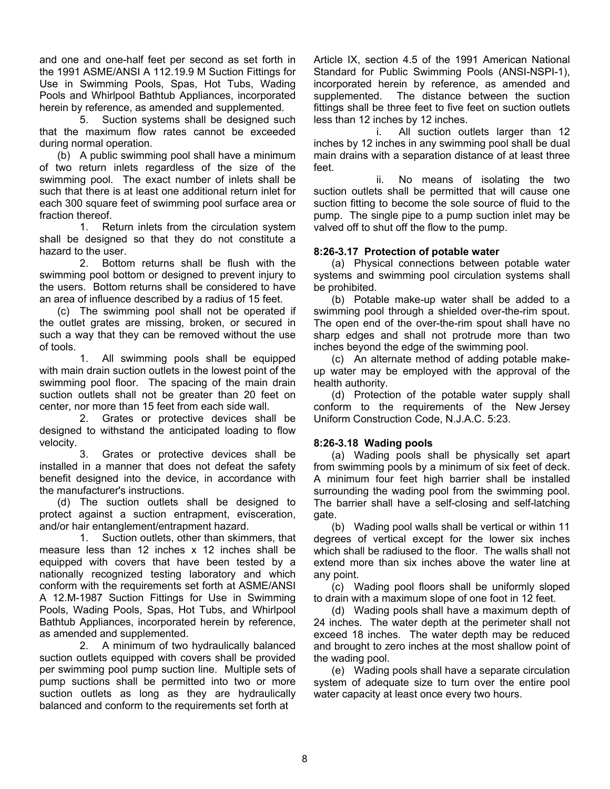and one and one-half feet per second as set forth in the 1991 ASME/ANSI A 112.19.9 M Suction Fittings for Use in Swimming Pools, Spas, Hot Tubs, Wading Pools and Whirlpool Bathtub Appliances, incorporated herein by reference, as amended and supplemented.

 5. Suction systems shall be designed such that the maximum flow rates cannot be exceeded during normal operation.

 (b) A public swimming pool shall have a minimum of two return inlets regardless of the size of the swimming pool. The exact number of inlets shall be such that there is at least one additional return inlet for each 300 square feet of swimming pool surface area or fraction thereof.

 1. Return inlets from the circulation system shall be designed so that they do not constitute a hazard to the user.

 2. Bottom returns shall be flush with the swimming pool bottom or designed to prevent injury to the users. Bottom returns shall be considered to have an area of influence described by a radius of 15 feet.

 (c) The swimming pool shall not be operated if the outlet grates are missing, broken, or secured in such a way that they can be removed without the use of tools.

 1. All swimming pools shall be equipped with main drain suction outlets in the lowest point of the swimming pool floor. The spacing of the main drain suction outlets shall not be greater than 20 feet on center, nor more than 15 feet from each side wall.

 2. Grates or protective devices shall be designed to withstand the anticipated loading to flow velocity.

 3. Grates or protective devices shall be installed in a manner that does not defeat the safety benefit designed into the device, in accordance with the manufacturer's instructions.

 (d) The suction outlets shall be designed to protect against a suction entrapment, evisceration, and/or hair entanglement/entrapment hazard.

 1. Suction outlets, other than skimmers, that measure less than 12 inches x 12 inches shall be equipped with covers that have been tested by a nationally recognized testing laboratory and which conform with the requirements set forth at ASME/ANSI A 12.M-1987 Suction Fittings for Use in Swimming Pools, Wading Pools, Spas, Hot Tubs, and Whirlpool Bathtub Appliances, incorporated herein by reference, as amended and supplemented.

 2. A minimum of two hydraulically balanced suction outlets equipped with covers shall be provided per swimming pool pump suction line. Multiple sets of pump suctions shall be permitted into two or more suction outlets as long as they are hydraulically balanced and conform to the requirements set forth at

Article IX, section 4.5 of the 1991 American National Standard for Public Swimming Pools (ANSI-NSPI-1), incorporated herein by reference, as amended and supplemented. The distance between the suction fittings shall be three feet to five feet on suction outlets less than 12 inches by 12 inches.

 i. All suction outlets larger than 12 inches by 12 inches in any swimming pool shall be dual main drains with a separation distance of at least three feet.

 ii. No means of isolating the two suction outlets shall be permitted that will cause one suction fitting to become the sole source of fluid to the pump. The single pipe to a pump suction inlet may be valved off to shut off the flow to the pump.

# **8:26-3.17 Protection of potable water**

 (a) Physical connections between potable water systems and swimming pool circulation systems shall be prohibited.

 (b) Potable make-up water shall be added to a swimming pool through a shielded over-the-rim spout. The open end of the over-the-rim spout shall have no sharp edges and shall not protrude more than two inches beyond the edge of the swimming pool.

 (c) An alternate method of adding potable makeup water may be employed with the approval of the health authority.

 (d) Protection of the potable water supply shall conform to the requirements of the New Jersey Uniform Construction Code, N.J.A.C. 5:23.

# **8:26-3.18 Wading pools**

 (a) Wading pools shall be physically set apart from swimming pools by a minimum of six feet of deck. A minimum four feet high barrier shall be installed surrounding the wading pool from the swimming pool. The barrier shall have a self-closing and self-latching gate.

 (b) Wading pool walls shall be vertical or within 11 degrees of vertical except for the lower six inches which shall be radiused to the floor. The walls shall not extend more than six inches above the water line at any point.

 (c) Wading pool floors shall be uniformly sloped to drain with a maximum slope of one foot in 12 feet.

 (d) Wading pools shall have a maximum depth of 24 inches. The water depth at the perimeter shall not exceed 18 inches. The water depth may be reduced and brought to zero inches at the most shallow point of the wading pool.

 (e) Wading pools shall have a separate circulation system of adequate size to turn over the entire pool water capacity at least once every two hours.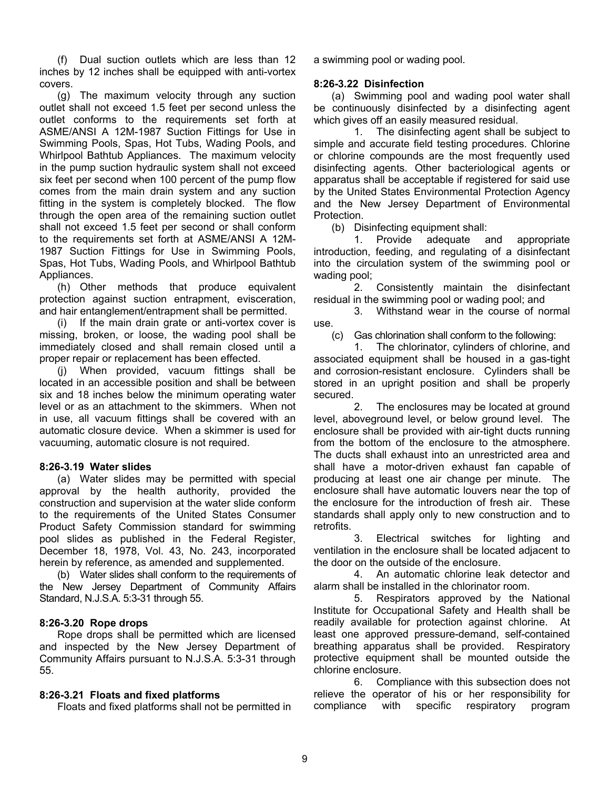(f) Dual suction outlets which are less than 12 inches by 12 inches shall be equipped with anti-vortex covers.

 (g) The maximum velocity through any suction outlet shall not exceed 1.5 feet per second unless the outlet conforms to the requirements set forth at ASME/ANSI A 12M-1987 Suction Fittings for Use in Swimming Pools, Spas, Hot Tubs, Wading Pools, and Whirlpool Bathtub Appliances. The maximum velocity in the pump suction hydraulic system shall not exceed six feet per second when 100 percent of the pump flow comes from the main drain system and any suction fitting in the system is completely blocked. The flow through the open area of the remaining suction outlet shall not exceed 1.5 feet per second or shall conform to the requirements set forth at ASME/ANSI A 12M-1987 Suction Fittings for Use in Swimming Pools, Spas, Hot Tubs, Wading Pools, and Whirlpool Bathtub Appliances.

 (h) Other methods that produce equivalent protection against suction entrapment, evisceration, and hair entanglement/entrapment shall be permitted.

 (i) If the main drain grate or anti-vortex cover is missing, broken, or loose, the wading pool shall be immediately closed and shall remain closed until a proper repair or replacement has been effected.

 (j) When provided, vacuum fittings shall be located in an accessible position and shall be between six and 18 inches below the minimum operating water level or as an attachment to the skimmers. When not in use, all vacuum fittings shall be covered with an automatic closure device. When a skimmer is used for vacuuming, automatic closure is not required.

# **8:26-3.19 Water slides**

 (a) Water slides may be permitted with special approval by the health authority, provided the construction and supervision at the water slide conform to the requirements of the United States Consumer Product Safety Commission standard for swimming pool slides as published in the Federal Register, December 18, 1978, Vol. 43, No. 243, incorporated herein by reference, as amended and supplemented.

 (b) Water slides shall conform to the requirements of the New Jersey Department of Community Affairs Standard, N.J.S.A. 5:3-31 through 55.

### **8:26-3.20 Rope drops**

 Rope drops shall be permitted which are licensed and inspected by the New Jersey Department of Community Affairs pursuant to N.J.S.A. 5:3-31 through 55.

# **8:26-3.21 Floats and fixed platforms**

Floats and fixed platforms shall not be permitted in

a swimming pool or wading pool.

# **8:26-3.22 Disinfection**

 (a) Swimming pool and wading pool water shall be continuously disinfected by a disinfecting agent which gives off an easily measured residual.

 1. The disinfecting agent shall be subject to simple and accurate field testing procedures. Chlorine or chlorine compounds are the most frequently used disinfecting agents. Other bacteriological agents or apparatus shall be acceptable if registered for said use by the United States Environmental Protection Agency and the New Jersey Department of Environmental Protection.

(b) Disinfecting equipment shall:

 1. Provide adequate and appropriate introduction, feeding, and regulating of a disinfectant into the circulation system of the swimming pool or wading pool;

 2. Consistently maintain the disinfectant residual in the swimming pool or wading pool; and

 3. Withstand wear in the course of normal use.

(c) Gas chlorination shall conform to the following:

 1. The chlorinator, cylinders of chlorine, and associated equipment shall be housed in a gas-tight and corrosion-resistant enclosure. Cylinders shall be stored in an upright position and shall be properly secured.

 2. The enclosures may be located at ground level, aboveground level, or below ground level. The enclosure shall be provided with air-tight ducts running from the bottom of the enclosure to the atmosphere. The ducts shall exhaust into an unrestricted area and shall have a motor-driven exhaust fan capable of producing at least one air change per minute. The enclosure shall have automatic louvers near the top of the enclosure for the introduction of fresh air. These standards shall apply only to new construction and to retrofits.

 3. Electrical switches for lighting and ventilation in the enclosure shall be located adjacent to the door on the outside of the enclosure.

 4. An automatic chlorine leak detector and alarm shall be installed in the chlorinator room.

 5. Respirators approved by the National Institute for Occupational Safety and Health shall be readily available for protection against chlorine. At least one approved pressure-demand, self-contained breathing apparatus shall be provided. Respiratory protective equipment shall be mounted outside the chlorine enclosure.

 6. Compliance with this subsection does not relieve the operator of his or her responsibility for compliance with specific respiratory program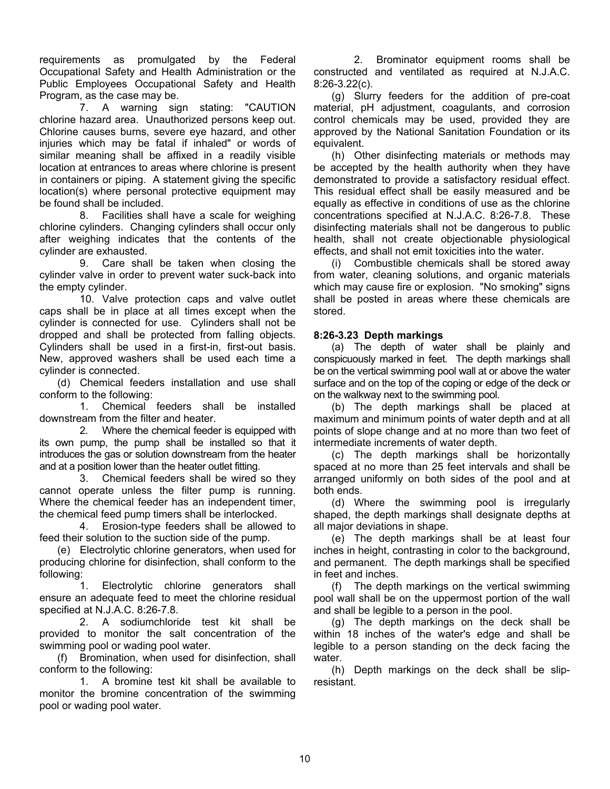requirements as promulgated by the Federal Occupational Safety and Health Administration or the Public Employees Occupational Safety and Health Program, as the case may be.

 7. A warning sign stating: "CAUTION chlorine hazard area. Unauthorized persons keep out. Chlorine causes burns, severe eye hazard, and other injuries which may be fatal if inhaled" or words of similar meaning shall be affixed in a readily visible location at entrances to areas where chlorine is present in containers or piping. A statement giving the specific location(s) where personal protective equipment may be found shall be included.

 8. Facilities shall have a scale for weighing chlorine cylinders. Changing cylinders shall occur only after weighing indicates that the contents of the cylinder are exhausted.

 9. Care shall be taken when closing the cylinder valve in order to prevent water suck-back into the empty cylinder.

 10. Valve protection caps and valve outlet caps shall be in place at all times except when the cylinder is connected for use. Cylinders shall not be dropped and shall be protected from falling objects. Cylinders shall be used in a first-in, first-out basis. New, approved washers shall be used each time a cylinder is connected.

 (d) Chemical feeders installation and use shall conform to the following:

 1. Chemical feeders shall be installed downstream from the filter and heater.

 2. Where the chemical feeder is equipped with its own pump, the pump shall be installed so that it introduces the gas or solution downstream from the heater and at a position lower than the heater outlet fitting.

 3. Chemical feeders shall be wired so they cannot operate unless the filter pump is running. Where the chemical feeder has an independent timer, the chemical feed pump timers shall be interlocked.

 4. Erosion-type feeders shall be allowed to feed their solution to the suction side of the pump.

 (e) Electrolytic chlorine generators, when used for producing chlorine for disinfection, shall conform to the following:

 1. Electrolytic chlorine generators shall ensure an adequate feed to meet the chlorine residual specified at N.J.A.C. 8:26-7.8.

 2. A sodiumchloride test kit shall be provided to monitor the salt concentration of the swimming pool or wading pool water.

 (f) Bromination, when used for disinfection, shall conform to the following:

 1. A bromine test kit shall be available to monitor the bromine concentration of the swimming pool or wading pool water.

 2. Brominator equipment rooms shall be constructed and ventilated as required at N.J.A.C. 8:26-3.22(c).

 (g) Slurry feeders for the addition of pre-coat material, pH adjustment, coagulants, and corrosion control chemicals may be used, provided they are approved by the National Sanitation Foundation or its equivalent.

 (h) Other disinfecting materials or methods may be accepted by the health authority when they have demonstrated to provide a satisfactory residual effect. This residual effect shall be easily measured and be equally as effective in conditions of use as the chlorine concentrations specified at N.J.A.C. 8:26-7.8. These disinfecting materials shall not be dangerous to public health, shall not create objectionable physiological effects, and shall not emit toxicities into the water.

 (i) Combustible chemicals shall be stored away from water, cleaning solutions, and organic materials which may cause fire or explosion. "No smoking" signs shall be posted in areas where these chemicals are stored.

# **8:26-3.23 Depth markings**

 (a) The depth of water shall be plainly and conspicuously marked in feet. The depth markings shall be on the vertical swimming pool wall at or above the water surface and on the top of the coping or edge of the deck or on the walkway next to the swimming pool.

 (b) The depth markings shall be placed at maximum and minimum points of water depth and at all points of slope change and at no more than two feet of intermediate increments of water depth.

 (c) The depth markings shall be horizontally spaced at no more than 25 feet intervals and shall be arranged uniformly on both sides of the pool and at both ends.

 (d) Where the swimming pool is irregularly shaped, the depth markings shall designate depths at all major deviations in shape.

 (e) The depth markings shall be at least four inches in height, contrasting in color to the background, and permanent. The depth markings shall be specified in feet and inches.

 (f) The depth markings on the vertical swimming pool wall shall be on the uppermost portion of the wall and shall be legible to a person in the pool.

 (g) The depth markings on the deck shall be within 18 inches of the water's edge and shall be legible to a person standing on the deck facing the water.

 (h) Depth markings on the deck shall be slipresistant.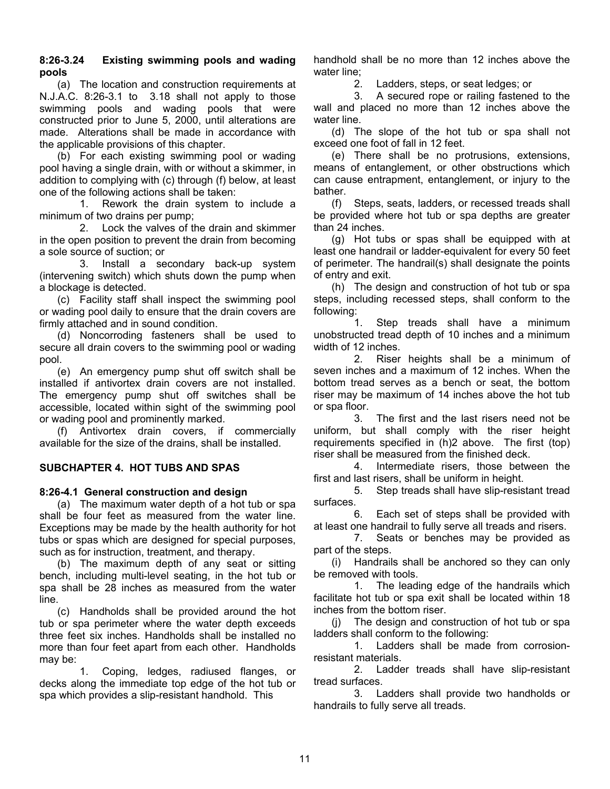# **8:26-3.24 Existing swimming pools and wading pools**

 (a) The location and construction requirements at N.J.A.C. 8:26-3.1 to 3.18 shall not apply to those swimming pools and wading pools that were constructed prior to June 5, 2000, until alterations are made. Alterations shall be made in accordance with the applicable provisions of this chapter.

 (b) For each existing swimming pool or wading pool having a single drain, with or without a skimmer, in addition to complying with (c) through (f) below, at least one of the following actions shall be taken:

 1. Rework the drain system to include a minimum of two drains per pump;

 2. Lock the valves of the drain and skimmer in the open position to prevent the drain from becoming a sole source of suction; or

 3. Install a secondary back-up system (intervening switch) which shuts down the pump when a blockage is detected.

 (c) Facility staff shall inspect the swimming pool or wading pool daily to ensure that the drain covers are firmly attached and in sound condition.

 (d) Noncorroding fasteners shall be used to secure all drain covers to the swimming pool or wading pool.

 (e) An emergency pump shut off switch shall be installed if antivortex drain covers are not installed. The emergency pump shut off switches shall be accessible, located within sight of the swimming pool or wading pool and prominently marked.

 (f) Antivortex drain covers, if commercially available for the size of the drains, shall be installed.

# **SUBCHAPTER 4. HOT TUBS AND SPAS**

# **8:26-4.1 General construction and design**

 (a) The maximum water depth of a hot tub or spa shall be four feet as measured from the water line. Exceptions may be made by the health authority for hot tubs or spas which are designed for special purposes, such as for instruction, treatment, and therapy.

 (b) The maximum depth of any seat or sitting bench, including multi-level seating, in the hot tub or spa shall be 28 inches as measured from the water line.

 (c) Handholds shall be provided around the hot tub or spa perimeter where the water depth exceeds three feet six inches. Handholds shall be installed no more than four feet apart from each other. Handholds may be:

 1. Coping, ledges, radiused flanges, or decks along the immediate top edge of the hot tub or spa which provides a slip-resistant handhold. This

handhold shall be no more than 12 inches above the water line;

2. Ladders, steps, or seat ledges; or

 3. A secured rope or railing fastened to the wall and placed no more than 12 inches above the water line.

 (d) The slope of the hot tub or spa shall not exceed one foot of fall in 12 feet.

 (e) There shall be no protrusions, extensions, means of entanglement, or other obstructions which can cause entrapment, entanglement, or injury to the bather.

 (f) Steps, seats, ladders, or recessed treads shall be provided where hot tub or spa depths are greater than 24 inches.

 (g) Hot tubs or spas shall be equipped with at least one handrail or ladder-equivalent for every 50 feet of perimeter. The handrail(s) shall designate the points of entry and exit.

 (h) The design and construction of hot tub or spa steps, including recessed steps, shall conform to the following:

 1. Step treads shall have a minimum unobstructed tread depth of 10 inches and a minimum width of 12 inches.

 2. Riser heights shall be a minimum of seven inches and a maximum of 12 inches. When the bottom tread serves as a bench or seat, the bottom riser may be maximum of 14 inches above the hot tub or spa floor.

 3. The first and the last risers need not be uniform, but shall comply with the riser height requirements specified in (h)2 above. The first (top) riser shall be measured from the finished deck.

 4. Intermediate risers, those between the first and last risers, shall be uniform in height.

 5. Step treads shall have slip-resistant tread surfaces.

 6. Each set of steps shall be provided with at least one handrail to fully serve all treads and risers.

 7. Seats or benches may be provided as part of the steps.

 (i) Handrails shall be anchored so they can only be removed with tools.

 1. The leading edge of the handrails which facilitate hot tub or spa exit shall be located within 18 inches from the bottom riser.

 (j) The design and construction of hot tub or spa ladders shall conform to the following:

 1. Ladders shall be made from corrosionresistant materials.

 2. Ladder treads shall have slip-resistant tread surfaces.

 3. Ladders shall provide two handholds or handrails to fully serve all treads.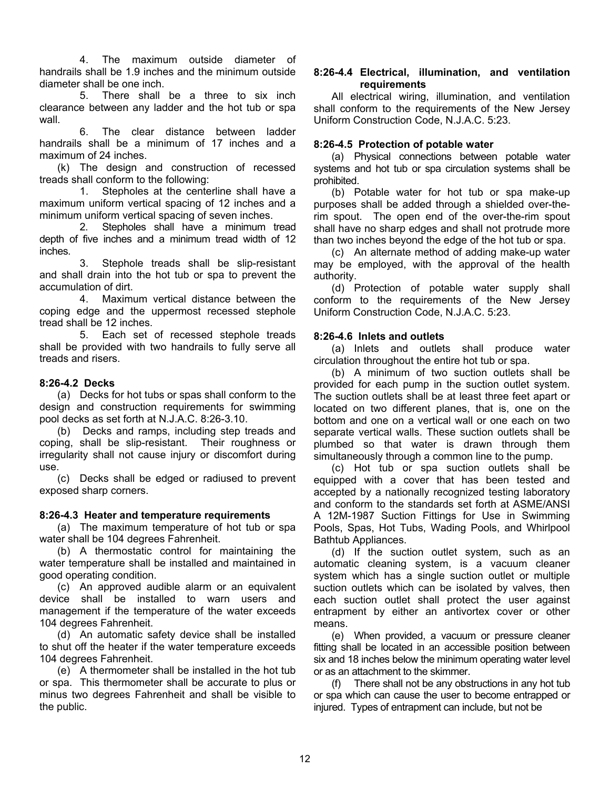4. The maximum outside diameter of handrails shall be 1.9 inches and the minimum outside diameter shall be one inch.

 5. There shall be a three to six inch clearance between any ladder and the hot tub or spa wall.

 6. The clear distance between ladder handrails shall be a minimum of 17 inches and a maximum of 24 inches.

 (k) The design and construction of recessed treads shall conform to the following:

 1. Stepholes at the centerline shall have a maximum uniform vertical spacing of 12 inches and a minimum uniform vertical spacing of seven inches.

 2. Stepholes shall have a minimum tread depth of five inches and a minimum tread width of 12 inches.

 3. Stephole treads shall be slip-resistant and shall drain into the hot tub or spa to prevent the accumulation of dirt.

 4. Maximum vertical distance between the coping edge and the uppermost recessed stephole tread shall be 12 inches.

 5. Each set of recessed stephole treads shall be provided with two handrails to fully serve all treads and risers.

# **8:26-4.2 Decks**

 (a) Decks for hot tubs or spas shall conform to the design and construction requirements for swimming pool decks as set forth at N.J.A.C. 8:26-3.10.

 (b) Decks and ramps, including step treads and coping, shall be slip-resistant. Their roughness or irregularity shall not cause injury or discomfort during use.

 (c) Decks shall be edged or radiused to prevent exposed sharp corners.

### **8:26-4.3 Heater and temperature requirements**

 (a) The maximum temperature of hot tub or spa water shall be 104 degrees Fahrenheit.

 (b) A thermostatic control for maintaining the water temperature shall be installed and maintained in good operating condition.

 (c) An approved audible alarm or an equivalent device shall be installed to warn users and management if the temperature of the water exceeds 104 degrees Fahrenheit.

 (d) An automatic safety device shall be installed to shut off the heater if the water temperature exceeds 104 degrees Fahrenheit.

 (e) A thermometer shall be installed in the hot tub or spa. This thermometer shall be accurate to plus or minus two degrees Fahrenheit and shall be visible to the public.

### **8:26-4.4 Electrical, illumination, and ventilation requirements**

 All electrical wiring, illumination, and ventilation shall conform to the requirements of the New Jersey Uniform Construction Code, N.J.A.C. 5:23.

### **8:26-4.5 Protection of potable water**

 (a) Physical connections between potable water systems and hot tub or spa circulation systems shall be prohibited.

 (b) Potable water for hot tub or spa make-up purposes shall be added through a shielded over-therim spout. The open end of the over-the-rim spout shall have no sharp edges and shall not protrude more than two inches beyond the edge of the hot tub or spa.

 (c) An alternate method of adding make-up water may be employed, with the approval of the health authority.

 (d) Protection of potable water supply shall conform to the requirements of the New Jersey Uniform Construction Code, N.J.A.C. 5:23.

### **8:26-4.6 Inlets and outlets**

 (a) Inlets and outlets shall produce water circulation throughout the entire hot tub or spa.

 (b) A minimum of two suction outlets shall be provided for each pump in the suction outlet system. The suction outlets shall be at least three feet apart or located on two different planes, that is, one on the bottom and one on a vertical wall or one each on two separate vertical walls. These suction outlets shall be plumbed so that water is drawn through them simultaneously through a common line to the pump.

 (c) Hot tub or spa suction outlets shall be equipped with a cover that has been tested and accepted by a nationally recognized testing laboratory and conform to the standards set forth at ASME/ANSI A 12M-1987 Suction Fittings for Use in Swimming Pools, Spas, Hot Tubs, Wading Pools, and Whirlpool Bathtub Appliances.

 (d) If the suction outlet system, such as an automatic cleaning system, is a vacuum cleaner system which has a single suction outlet or multiple suction outlets which can be isolated by valves, then each suction outlet shall protect the user against entrapment by either an antivortex cover or other means.

 (e) When provided, a vacuum or pressure cleaner fitting shall be located in an accessible position between six and 18 inches below the minimum operating water level or as an attachment to the skimmer.

 (f) There shall not be any obstructions in any hot tub or spa which can cause the user to become entrapped or injured. Types of entrapment can include, but not be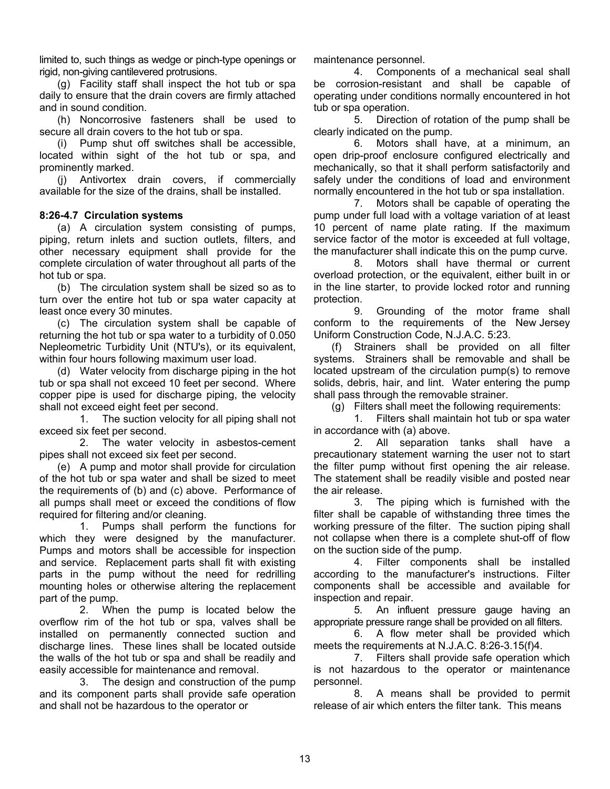limited to, such things as wedge or pinch-type openings or rigid, non-giving cantilevered protrusions.

 (g) Facility staff shall inspect the hot tub or spa daily to ensure that the drain covers are firmly attached and in sound condition.

 (h) Noncorrosive fasteners shall be used to secure all drain covers to the hot tub or spa.

 (i) Pump shut off switches shall be accessible, located within sight of the hot tub or spa, and prominently marked.

 (j) Antivortex drain covers, if commercially available for the size of the drains, shall be installed.

# **8:26-4.7 Circulation systems**

 (a) A circulation system consisting of pumps, piping, return inlets and suction outlets, filters, and other necessary equipment shall provide for the complete circulation of water throughout all parts of the hot tub or spa.

 (b) The circulation system shall be sized so as to turn over the entire hot tub or spa water capacity at least once every 30 minutes.

 (c) The circulation system shall be capable of returning the hot tub or spa water to a turbidity of 0.050 Nepleometric Turbidity Unit (NTU's), or its equivalent, within four hours following maximum user load.

 (d) Water velocity from discharge piping in the hot tub or spa shall not exceed 10 feet per second. Where copper pipe is used for discharge piping, the velocity shall not exceed eight feet per second.

 1. The suction velocity for all piping shall not exceed six feet per second.

 2. The water velocity in asbestos-cement pipes shall not exceed six feet per second.

 (e) A pump and motor shall provide for circulation of the hot tub or spa water and shall be sized to meet the requirements of (b) and (c) above. Performance of all pumps shall meet or exceed the conditions of flow required for filtering and/or cleaning.

 1. Pumps shall perform the functions for which they were designed by the manufacturer. Pumps and motors shall be accessible for inspection and service. Replacement parts shall fit with existing parts in the pump without the need for redrilling mounting holes or otherwise altering the replacement part of the pump.

 2. When the pump is located below the overflow rim of the hot tub or spa, valves shall be installed on permanently connected suction and discharge lines. These lines shall be located outside the walls of the hot tub or spa and shall be readily and easily accessible for maintenance and removal.

 3. The design and construction of the pump and its component parts shall provide safe operation and shall not be hazardous to the operator or

maintenance personnel.

 4. Components of a mechanical seal shall be corrosion-resistant and shall be capable of operating under conditions normally encountered in hot tub or spa operation.

 5. Direction of rotation of the pump shall be clearly indicated on the pump.

 6. Motors shall have, at a minimum, an open drip-proof enclosure configured electrically and mechanically, so that it shall perform satisfactorily and safely under the conditions of load and environment normally encountered in the hot tub or spa installation.

 7. Motors shall be capable of operating the pump under full load with a voltage variation of at least 10 percent of name plate rating. If the maximum service factor of the motor is exceeded at full voltage, the manufacturer shall indicate this on the pump curve.

 8. Motors shall have thermal or current overload protection, or the equivalent, either built in or in the line starter, to provide locked rotor and running protection.

 9. Grounding of the motor frame shall conform to the requirements of the New Jersey Uniform Construction Code, N.J.A.C. 5:23.

 (f) Strainers shall be provided on all filter systems. Strainers shall be removable and shall be located upstream of the circulation pump(s) to remove solids, debris, hair, and lint. Water entering the pump shall pass through the removable strainer.

(g) Filters shall meet the following requirements:

 1. Filters shall maintain hot tub or spa water in accordance with (a) above.

 2. All separation tanks shall have a precautionary statement warning the user not to start the filter pump without first opening the air release. The statement shall be readily visible and posted near the air release.

 3. The piping which is furnished with the filter shall be capable of withstanding three times the working pressure of the filter. The suction piping shall not collapse when there is a complete shut-off of flow on the suction side of the pump.

 4. Filter components shall be installed according to the manufacturer's instructions. Filter components shall be accessible and available for inspection and repair.

 5. An influent pressure gauge having an appropriate pressure range shall be provided on all filters.

 6. A flow meter shall be provided which meets the requirements at N.J.A.C. 8:26-3.15(f)4.

 7. Filters shall provide safe operation which is not hazardous to the operator or maintenance personnel.

 8. A means shall be provided to permit release of air which enters the filter tank. This means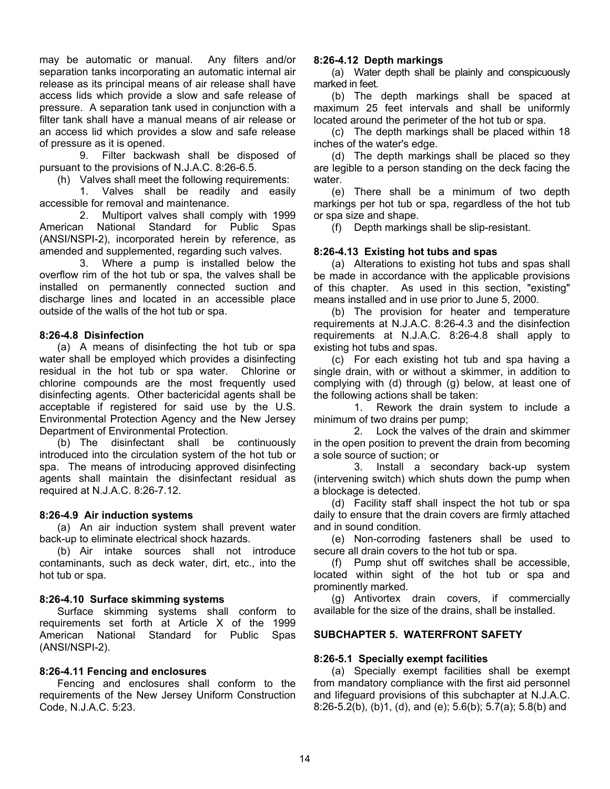may be automatic or manual. Any filters and/or separation tanks incorporating an automatic internal air release as its principal means of air release shall have access lids which provide a slow and safe release of pressure. A separation tank used in conjunction with a filter tank shall have a manual means of air release or an access lid which provides a slow and safe release of pressure as it is opened.

 9. Filter backwash shall be disposed of pursuant to the provisions of N.J.A.C. 8:26-6.5.

(h) Valves shall meet the following requirements:

 1. Valves shall be readily and easily accessible for removal and maintenance.

 2. Multiport valves shall comply with 1999 American National Standard for Public Spas (ANSI/NSPI-2), incorporated herein by reference, as amended and supplemented, regarding such valves.

 3. Where a pump is installed below the overflow rim of the hot tub or spa, the valves shall be installed on permanently connected suction and discharge lines and located in an accessible place outside of the walls of the hot tub or spa.

### **8:26-4.8 Disinfection**

 (a) A means of disinfecting the hot tub or spa water shall be employed which provides a disinfecting residual in the hot tub or spa water. Chlorine or chlorine compounds are the most frequently used disinfecting agents. Other bactericidal agents shall be acceptable if registered for said use by the U.S. Environmental Protection Agency and the New Jersey Department of Environmental Protection.

 (b) The disinfectant shall be continuously introduced into the circulation system of the hot tub or spa. The means of introducing approved disinfecting agents shall maintain the disinfectant residual as required at N.J.A.C. 8:26-7.12.

### **8:26-4.9 Air induction systems**

 (a) An air induction system shall prevent water back-up to eliminate electrical shock hazards.

 (b) Air intake sources shall not introduce contaminants, such as deck water, dirt, etc., into the hot tub or spa.

### **8:26-4.10 Surface skimming systems**

 Surface skimming systems shall conform to requirements set forth at Article X of the 1999 American National Standard for Public Spas (ANSI/NSPI-2).

### **8:26-4.11 Fencing and enclosures**

 Fencing and enclosures shall conform to the requirements of the New Jersey Uniform Construction Code, N.J.A.C. 5:23.

### **8:26-4.12 Depth markings**

 (a) Water depth shall be plainly and conspicuously marked in feet.

 (b) The depth markings shall be spaced at maximum 25 feet intervals and shall be uniformly located around the perimeter of the hot tub or spa.

 (c) The depth markings shall be placed within 18 inches of the water's edge.

 (d) The depth markings shall be placed so they are legible to a person standing on the deck facing the water.

 (e) There shall be a minimum of two depth markings per hot tub or spa, regardless of the hot tub or spa size and shape.

(f) Depth markings shall be slip-resistant.

# **8:26-4.13 Existing hot tubs and spas**

 (a) Alterations to existing hot tubs and spas shall be made in accordance with the applicable provisions of this chapter. As used in this section, "existing" means installed and in use prior to June 5, 2000.

 (b) The provision for heater and temperature requirements at N.J.A.C. 8:26-4.3 and the disinfection requirements at N.J.A.C. 8:26-4.8 shall apply to existing hot tubs and spas.

 (c) For each existing hot tub and spa having a single drain, with or without a skimmer, in addition to complying with (d) through (g) below, at least one of the following actions shall be taken:

 1. Rework the drain system to include a minimum of two drains per pump;

 2. Lock the valves of the drain and skimmer in the open position to prevent the drain from becoming a sole source of suction; or

 3. Install a secondary back-up system (intervening switch) which shuts down the pump when a blockage is detected.

 (d) Facility staff shall inspect the hot tub or spa daily to ensure that the drain covers are firmly attached and in sound condition.

 (e) Non-corroding fasteners shall be used to secure all drain covers to the hot tub or spa.

 (f) Pump shut off switches shall be accessible, located within sight of the hot tub or spa and prominently marked.

 (g) Antivortex drain covers, if commercially available for the size of the drains, shall be installed.

### **SUBCHAPTER 5. WATERFRONT SAFETY**

### **8:26-5.1 Specially exempt facilities**

 (a) Specially exempt facilities shall be exempt from mandatory compliance with the first aid personnel and lifeguard provisions of this subchapter at N.J.A.C. 8:26-5.2(b), (b)1, (d), and (e); 5.6(b); 5.7(a); 5.8(b) and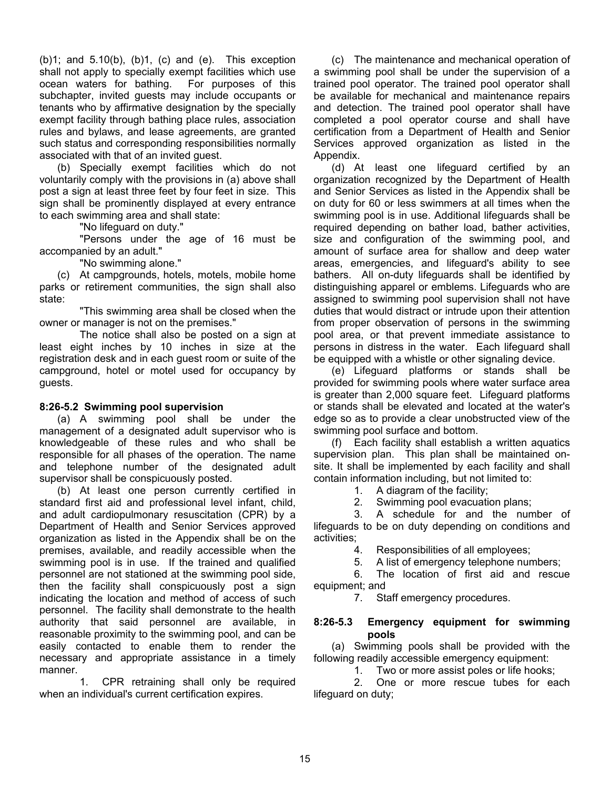$(b)1$ ; and  $5.10(b)$ ,  $(b)1$ ,  $(c)$  and  $(e)$ . This exception shall not apply to specially exempt facilities which use ocean waters for bathing. For purposes of this subchapter, invited guests may include occupants or tenants who by affirmative designation by the specially exempt facility through bathing place rules, association rules and bylaws, and lease agreements, are granted such status and corresponding responsibilities normally associated with that of an invited guest.

 (b) Specially exempt facilities which do not voluntarily comply with the provisions in (a) above shall post a sign at least three feet by four feet in size. This sign shall be prominently displayed at every entrance to each swimming area and shall state:

"No lifeguard on duty."

 "Persons under the age of 16 must be accompanied by an adult."

"No swimming alone."

(c) At campgrounds, hotels, motels, mobile home parks or retirement communities, the sign shall also state:

 "This swimming area shall be closed when the owner or manager is not on the premises."

 The notice shall also be posted on a sign at least eight inches by 10 inches in size at the registration desk and in each guest room or suite of the campground, hotel or motel used for occupancy by guests.

# **8:26-5.2 Swimming pool supervision**

 (a) A swimming pool shall be under the management of a designated adult supervisor who is knowledgeable of these rules and who shall be responsible for all phases of the operation. The name and telephone number of the designated adult supervisor shall be conspicuously posted.

 (b) At least one person currently certified in standard first aid and professional level infant, child, and adult cardiopulmonary resuscitation (CPR) by a Department of Health and Senior Services approved organization as listed in the Appendix shall be on the premises, available, and readily accessible when the swimming pool is in use. If the trained and qualified personnel are not stationed at the swimming pool side, then the facility shall conspicuously post a sign indicating the location and method of access of such personnel. The facility shall demonstrate to the health authority that said personnel are available, in reasonable proximity to the swimming pool, and can be easily contacted to enable them to render the necessary and appropriate assistance in a timely manner.

 1. CPR retraining shall only be required when an individual's current certification expires.

 (c) The maintenance and mechanical operation of a swimming pool shall be under the supervision of a trained pool operator. The trained pool operator shall be available for mechanical and maintenance repairs and detection. The trained pool operator shall have completed a pool operator course and shall have certification from a Department of Health and Senior Services approved organization as listed in the Appendix.

 (d) At least one lifeguard certified by an organization recognized by the Department of Health and Senior Services as listed in the Appendix shall be on duty for 60 or less swimmers at all times when the swimming pool is in use. Additional lifeguards shall be required depending on bather load, bather activities, size and configuration of the swimming pool, and amount of surface area for shallow and deep water areas, emergencies, and lifeguard's ability to see bathers. All on-duty lifeguards shall be identified by distinguishing apparel or emblems. Lifeguards who are assigned to swimming pool supervision shall not have duties that would distract or intrude upon their attention from proper observation of persons in the swimming pool area, or that prevent immediate assistance to persons in distress in the water. Each lifeguard shall be equipped with a whistle or other signaling device.

 (e) Lifeguard platforms or stands shall be provided for swimming pools where water surface area is greater than 2,000 square feet. Lifeguard platforms or stands shall be elevated and located at the water's edge so as to provide a clear unobstructed view of the swimming pool surface and bottom.

 (f) Each facility shall establish a written aquatics supervision plan. This plan shall be maintained onsite. It shall be implemented by each facility and shall contain information including, but not limited to:

1. A diagram of the facility;

2. Swimming pool evacuation plans;

 3. A schedule for and the number of lifeguards to be on duty depending on conditions and activities;

4. Responsibilities of all employees;

5. A list of emergency telephone numbers;

 6. The location of first aid and rescue equipment; and

7. Staff emergency procedures.

### **8:26-5.3 Emergency equipment for swimming pools**

 (a) Swimming pools shall be provided with the following readily accessible emergency equipment:

1. Two or more assist poles or life hooks;

 2. One or more rescue tubes for each lifeguard on duty;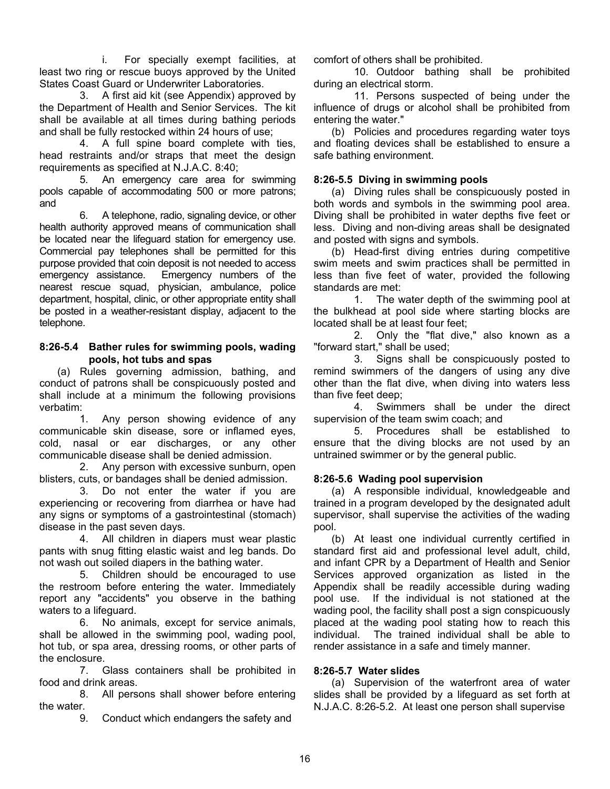i. For specially exempt facilities, at least two ring or rescue buoys approved by the United States Coast Guard or Underwriter Laboratories.

 3. A first aid kit (see Appendix) approved by the Department of Health and Senior Services. The kit shall be available at all times during bathing periods and shall be fully restocked within 24 hours of use;

 4. A full spine board complete with ties, head restraints and/or straps that meet the design requirements as specified at N.J.A.C. 8:40;

 5. An emergency care area for swimming pools capable of accommodating 500 or more patrons; and

 6. A telephone, radio, signaling device, or other health authority approved means of communication shall be located near the lifeguard station for emergency use. Commercial pay telephones shall be permitted for this purpose provided that coin deposit is not needed to access emergency assistance. Emergency numbers of the nearest rescue squad, physician, ambulance, police department, hospital, clinic, or other appropriate entity shall be posted in a weather-resistant display, adjacent to the telephone.

### **8:26-5.4 Bather rules for swimming pools, wading pools, hot tubs and spas**

 (a) Rules governing admission, bathing, and conduct of patrons shall be conspicuously posted and shall include at a minimum the following provisions verbatim:

 1. Any person showing evidence of any communicable skin disease, sore or inflamed eyes, cold, nasal or ear discharges, or any other communicable disease shall be denied admission.

 2. Any person with excessive sunburn, open blisters, cuts, or bandages shall be denied admission.

 3. Do not enter the water if you are experiencing or recovering from diarrhea or have had any signs or symptoms of a gastrointestinal (stomach) disease in the past seven days.

 4. All children in diapers must wear plastic pants with snug fitting elastic waist and leg bands. Do not wash out soiled diapers in the bathing water.

 5. Children should be encouraged to use the restroom before entering the water. Immediately report any "accidents" you observe in the bathing waters to a lifeguard.

 6. No animals, except for service animals, shall be allowed in the swimming pool, wading pool, hot tub, or spa area, dressing rooms, or other parts of the enclosure.

 7. Glass containers shall be prohibited in food and drink areas.

 8. All persons shall shower before entering the water.

9. Conduct which endangers the safety and

comfort of others shall be prohibited.

 10. Outdoor bathing shall be prohibited during an electrical storm.

 11. Persons suspected of being under the influence of drugs or alcohol shall be prohibited from entering the water."

 (b) Policies and procedures regarding water toys and floating devices shall be established to ensure a safe bathing environment.

# **8:26-5.5 Diving in swimming pools**

 (a) Diving rules shall be conspicuously posted in both words and symbols in the swimming pool area. Diving shall be prohibited in water depths five feet or less. Diving and non-diving areas shall be designated and posted with signs and symbols.

 (b) Head-first diving entries during competitive swim meets and swim practices shall be permitted in less than five feet of water, provided the following standards are met:

 1. The water depth of the swimming pool at the bulkhead at pool side where starting blocks are located shall be at least four feet;

 2. Only the "flat dive," also known as a "forward start," shall be used;

 3. Signs shall be conspicuously posted to remind swimmers of the dangers of using any dive other than the flat dive, when diving into waters less than five feet deep;

 4. Swimmers shall be under the direct supervision of the team swim coach; and

 5. Procedures shall be established to ensure that the diving blocks are not used by an untrained swimmer or by the general public.

# **8:26-5.6 Wading pool supervision**

 (a) A responsible individual, knowledgeable and trained in a program developed by the designated adult supervisor, shall supervise the activities of the wading pool.

 (b) At least one individual currently certified in standard first aid and professional level adult, child, and infant CPR by a Department of Health and Senior Services approved organization as listed in the Appendix shall be readily accessible during wading pool use. If the individual is not stationed at the wading pool, the facility shall post a sign conspicuously placed at the wading pool stating how to reach this individual. The trained individual shall be able to render assistance in a safe and timely manner.

# **8:26-5.7 Water slides**

 (a) Supervision of the waterfront area of water slides shall be provided by a lifeguard as set forth at N.J.A.C. 8:26-5.2. At least one person shall supervise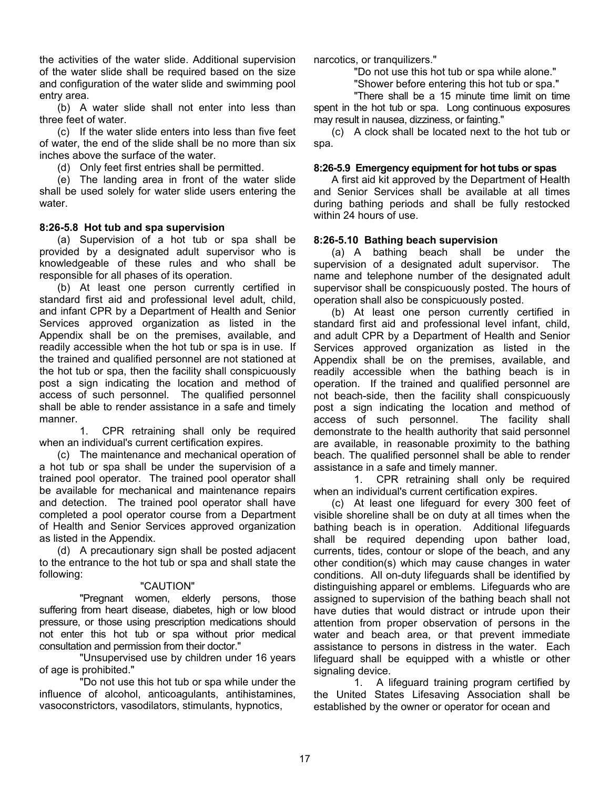the activities of the water slide. Additional supervision of the water slide shall be required based on the size and configuration of the water slide and swimming pool entry area.

 (b) A water slide shall not enter into less than three feet of water.

 (c) If the water slide enters into less than five feet of water, the end of the slide shall be no more than six inches above the surface of the water.

(d) Only feet first entries shall be permitted.

 (e) The landing area in front of the water slide shall be used solely for water slide users entering the water.

# **8:26-5.8 Hot tub and spa supervision**

 (a) Supervision of a hot tub or spa shall be provided by a designated adult supervisor who is knowledgeable of these rules and who shall be responsible for all phases of its operation.

 (b) At least one person currently certified in standard first aid and professional level adult, child, and infant CPR by a Department of Health and Senior Services approved organization as listed in the Appendix shall be on the premises, available, and readily accessible when the hot tub or spa is in use. If the trained and qualified personnel are not stationed at the hot tub or spa, then the facility shall conspicuously post a sign indicating the location and method of access of such personnel. The qualified personnel shall be able to render assistance in a safe and timely manner.

 1. CPR retraining shall only be required when an individual's current certification expires.

 (c) The maintenance and mechanical operation of a hot tub or spa shall be under the supervision of a trained pool operator. The trained pool operator shall be available for mechanical and maintenance repairs and detection. The trained pool operator shall have completed a pool operator course from a Department of Health and Senior Services approved organization as listed in the Appendix.

 (d) A precautionary sign shall be posted adjacent to the entrance to the hot tub or spa and shall state the following:

### "CAUTION"

 "Pregnant women, elderly persons, those suffering from heart disease, diabetes, high or low blood pressure, or those using prescription medications should not enter this hot tub or spa without prior medical consultation and permission from their doctor."

 "Unsupervised use by children under 16 years of age is prohibited."

 "Do not use this hot tub or spa while under the influence of alcohol, anticoagulants, antihistamines, vasoconstrictors, vasodilators, stimulants, hypnotics,

narcotics, or tranquilizers."

"Do not use this hot tub or spa while alone."

"Shower before entering this hot tub or spa."

 "There shall be a 15 minute time limit on time spent in the hot tub or spa. Long continuous exposures may result in nausea, dizziness, or fainting."

 (c) A clock shall be located next to the hot tub or spa.

#### **8:26-5.9 Emergency equipment for hot tubs or spas**

 A first aid kit approved by the Department of Health and Senior Services shall be available at all times during bathing periods and shall be fully restocked within 24 hours of use.

### **8:26-5.10 Bathing beach supervision**

 (a) A bathing beach shall be under the supervision of a designated adult supervisor. The name and telephone number of the designated adult supervisor shall be conspicuously posted. The hours of operation shall also be conspicuously posted.

 (b) At least one person currently certified in standard first aid and professional level infant, child, and adult CPR by a Department of Health and Senior Services approved organization as listed in the Appendix shall be on the premises, available, and readily accessible when the bathing beach is in operation. If the trained and qualified personnel are not beach-side, then the facility shall conspicuously post a sign indicating the location and method of access of such personnel. The facility shall demonstrate to the health authority that said personnel are available, in reasonable proximity to the bathing beach. The qualified personnel shall be able to render assistance in a safe and timely manner.

 1. CPR retraining shall only be required when an individual's current certification expires.

 (c) At least one lifeguard for every 300 feet of visible shoreline shall be on duty at all times when the bathing beach is in operation. Additional lifeguards shall be required depending upon bather load, currents, tides, contour or slope of the beach, and any other condition(s) which may cause changes in water conditions. All on-duty lifeguards shall be identified by distinguishing apparel or emblems. Lifeguards who are assigned to supervision of the bathing beach shall not have duties that would distract or intrude upon their attention from proper observation of persons in the water and beach area, or that prevent immediate assistance to persons in distress in the water. Each lifeguard shall be equipped with a whistle or other signaling device.

 1. A lifeguard training program certified by the United States Lifesaving Association shall be established by the owner or operator for ocean and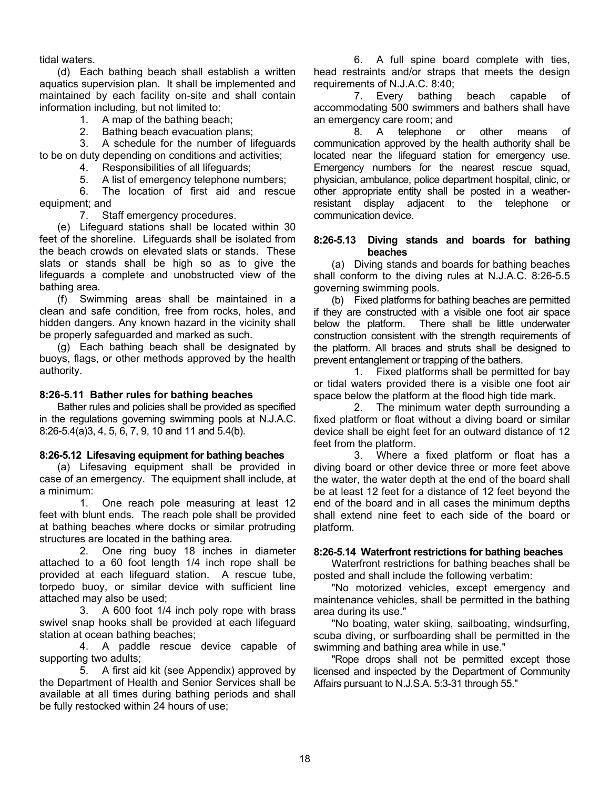tidal waters.

 (d) Each bathing beach shall establish a written aquatics supervision plan. It shall be implemented and maintained by each facility on-site and shall contain information including, but not limited to:

1. A map of the bathing beach;

2. Bathing beach evacuation plans;

 3. A schedule for the number of lifeguards to be on duty depending on conditions and activities;

4. Responsibilities of all lifeguards;

5. A list of emergency telephone numbers;

 6. The location of first aid and rescue equipment; and

7. Staff emergency procedures.

 (e) Lifeguard stations shall be located within 30 feet of the shoreline. Lifeguards shall be isolated from the beach crowds on elevated slats or stands. These slats or stands shall be high so as to give the lifeguards a complete and unobstructed view of the bathing area.

 (f) Swimming areas shall be maintained in a clean and safe condition, free from rocks, holes, and hidden dangers. Any known hazard in the vicinity shall be properly safeguarded and marked as such.

 (g) Each bathing beach shall be designated by buoys, flags, or other methods approved by the health authority.

### **8:26-5.11 Bather rules for bathing beaches**

 Bather rules and policies shall be provided as specified in the regulations governing swimming pools at N.J.A.C. 8:26-5.4(a)3, 4, 5, 6, 7, 9, 10 and 11 and 5.4(b).

### **8:26-5.12 Lifesaving equipment for bathing beaches**

 (a) Lifesaving equipment shall be provided in case of an emergency. The equipment shall include, at a minimum:

 1. One reach pole measuring at least 12 feet with blunt ends. The reach pole shall be provided at bathing beaches where docks or similar protruding structures are located in the bathing area.<br>2. One ring buoy 18 inches

One ring buoy 18 inches in diameter attached to a 60 foot length 1/4 inch rope shall be provided at each lifeguard station. A rescue tube, torpedo buoy, or similar device with sufficient line attached may also be used;

 3. A 600 foot 1/4 inch poly rope with brass swivel snap hooks shall be provided at each lifeguard station at ocean bathing beaches;

 4. A paddle rescue device capable of supporting two adults;

 5. A first aid kit (see Appendix) approved by the Department of Health and Senior Services shall be available at all times during bathing periods and shall be fully restocked within 24 hours of use;

 6. A full spine board complete with ties, head restraints and/or straps that meets the design requirements of N.J.A.C. 8:40;

 7. Every bathing beach capable of accommodating 500 swimmers and bathers shall have an emergency care room; and

 8. A telephone or other means of communication approved by the health authority shall be located near the lifeguard station for emergency use. Emergency numbers for the nearest rescue squad, physician, ambulance, police department hospital, clinic, or other appropriate entity shall be posted in a weatherresistant display adjacent to the telephone or communication device.

### **8:26-5.13 Diving stands and boards for bathing beaches**

 (a) Diving stands and boards for bathing beaches shall conform to the diving rules at N.J.A.C. 8:26-5.5 governing swimming pools.

 (b) Fixed platforms for bathing beaches are permitted if they are constructed with a visible one foot air space below the platform. There shall be little underwater construction consistent with the strength requirements of the platform. All braces and struts shall be designed to prevent entanglement or trapping of the bathers.

 1. Fixed platforms shall be permitted for bay or tidal waters provided there is a visible one foot air space below the platform at the flood high tide mark.

 2. The minimum water depth surrounding a fixed platform or float without a diving board or similar device shall be eight feet for an outward distance of 12 feet from the platform.

 3. Where a fixed platform or float has a diving board or other device three or more feet above the water, the water depth at the end of the board shall be at least 12 feet for a distance of 12 feet beyond the end of the board and in all cases the minimum depths shall extend nine feet to each side of the board or platform.

### **8:26-5.14 Waterfront restrictions for bathing beaches**

 Waterfront restrictions for bathing beaches shall be posted and shall include the following verbatim:

 "No motorized vehicles, except emergency and maintenance vehicles, shall be permitted in the bathing area during its use."

 "No boating, water skiing, sailboating, windsurfing, scuba diving, or surfboarding shall be permitted in the swimming and bathing area while in use."

 "Rope drops shall not be permitted except those licensed and inspected by the Department of Community Affairs pursuant to N.J.S.A. 5:3-31 through 55."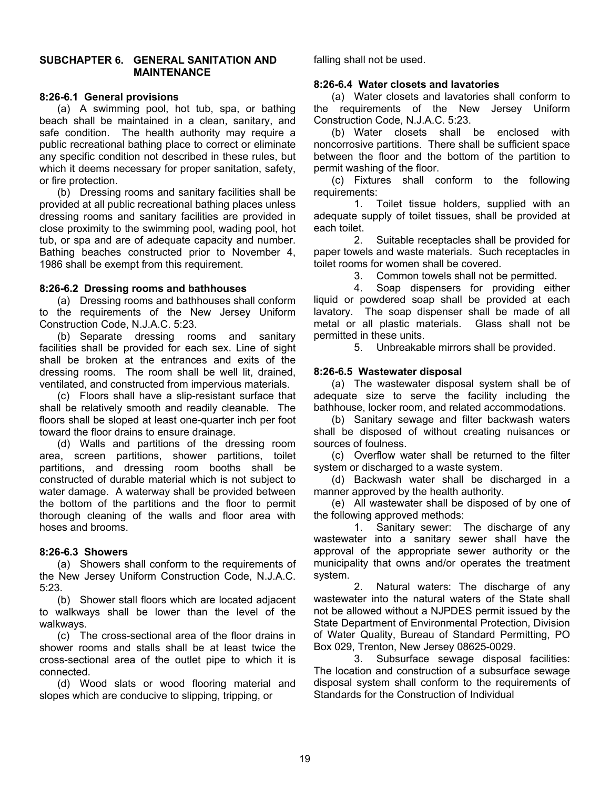### **SUBCHAPTER 6. GENERAL SANITATION AND MAINTENANCE**

### **8:26-6.1 General provisions**

 (a) A swimming pool, hot tub, spa, or bathing beach shall be maintained in a clean, sanitary, and safe condition. The health authority may require a public recreational bathing place to correct or eliminate any specific condition not described in these rules, but which it deems necessary for proper sanitation, safety, or fire protection.

 (b) Dressing rooms and sanitary facilities shall be provided at all public recreational bathing places unless dressing rooms and sanitary facilities are provided in close proximity to the swimming pool, wading pool, hot tub, or spa and are of adequate capacity and number. Bathing beaches constructed prior to November 4, 1986 shall be exempt from this requirement.

### **8:26-6.2 Dressing rooms and bathhouses**

 (a) Dressing rooms and bathhouses shall conform to the requirements of the New Jersey Uniform Construction Code, N.J.A.C. 5:23.

 (b) Separate dressing rooms and sanitary facilities shall be provided for each sex. Line of sight shall be broken at the entrances and exits of the dressing rooms. The room shall be well lit, drained, ventilated, and constructed from impervious materials.

 (c) Floors shall have a slip-resistant surface that shall be relatively smooth and readily cleanable. The floors shall be sloped at least one-quarter inch per foot toward the floor drains to ensure drainage.

 (d) Walls and partitions of the dressing room area, screen partitions, shower partitions, toilet partitions, and dressing room booths shall be constructed of durable material which is not subject to water damage. A waterway shall be provided between the bottom of the partitions and the floor to permit thorough cleaning of the walls and floor area with hoses and brooms.

# **8:26-6.3 Showers**

 (a) Showers shall conform to the requirements of the New Jersey Uniform Construction Code, N.J.A.C. 5:23.

 (b) Shower stall floors which are located adjacent to walkways shall be lower than the level of the walkways.

 (c) The cross-sectional area of the floor drains in shower rooms and stalls shall be at least twice the cross-sectional area of the outlet pipe to which it is connected.

 (d) Wood slats or wood flooring material and slopes which are conducive to slipping, tripping, or

falling shall not be used.

### **8:26-6.4 Water closets and lavatories**

 (a) Water closets and lavatories shall conform to the requirements of the New Jersey Uniform Construction Code, N.J.A.C. 5:23.

 (b) Water closets shall be enclosed with noncorrosive partitions. There shall be sufficient space between the floor and the bottom of the partition to permit washing of the floor.

 (c) Fixtures shall conform to the following requirements:

 1. Toilet tissue holders, supplied with an adequate supply of toilet tissues, shall be provided at each toilet.

 2. Suitable receptacles shall be provided for paper towels and waste materials. Such receptacles in toilet rooms for women shall be covered.

3. Common towels shall not be permitted.

 4. Soap dispensers for providing either liquid or powdered soap shall be provided at each lavatory. The soap dispenser shall be made of all metal or all plastic materials. Glass shall not be permitted in these units.

5. Unbreakable mirrors shall be provided.

# **8:26-6.5 Wastewater disposal**

 (a) The wastewater disposal system shall be of adequate size to serve the facility including the bathhouse, locker room, and related accommodations.

 (b) Sanitary sewage and filter backwash waters shall be disposed of without creating nuisances or sources of foulness.

 (c) Overflow water shall be returned to the filter system or discharged to a waste system.

 (d) Backwash water shall be discharged in a manner approved by the health authority.

 (e) All wastewater shall be disposed of by one of the following approved methods:

 1. Sanitary sewer: The discharge of any wastewater into a sanitary sewer shall have the approval of the appropriate sewer authority or the municipality that owns and/or operates the treatment system.

 2. Natural waters: The discharge of any wastewater into the natural waters of the State shall not be allowed without a NJPDES permit issued by the State Department of Environmental Protection, Division of Water Quality, Bureau of Standard Permitting, PO Box 029, Trenton, New Jersey 08625-0029.

 3. Subsurface sewage disposal facilities: The location and construction of a subsurface sewage disposal system shall conform to the requirements of Standards for the Construction of Individual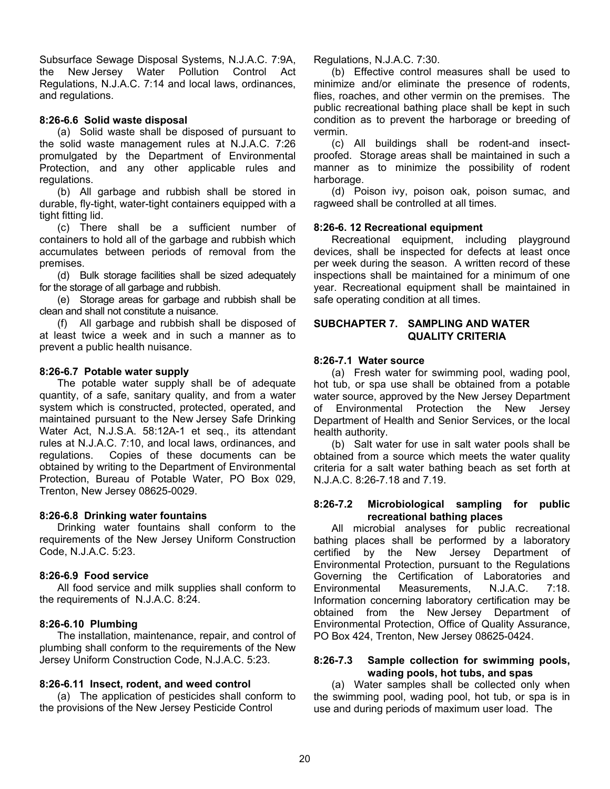Subsurface Sewage Disposal Systems, N.J.A.C. 7:9A, the New Jersey Water Pollution Control Act Regulations, N.J.A.C. 7:14 and local laws, ordinances, and regulations.

# **8:26-6.6 Solid waste disposal**

 (a) Solid waste shall be disposed of pursuant to the solid waste management rules at N.J.A.C. 7:26 promulgated by the Department of Environmental Protection, and any other applicable rules and regulations.

 (b) All garbage and rubbish shall be stored in durable, fly-tight, water-tight containers equipped with a tight fitting lid.

 (c) There shall be a sufficient number of containers to hold all of the garbage and rubbish which accumulates between periods of removal from the premises.

 (d) Bulk storage facilities shall be sized adequately for the storage of all garbage and rubbish.

 (e) Storage areas for garbage and rubbish shall be clean and shall not constitute a nuisance.

 (f) All garbage and rubbish shall be disposed of at least twice a week and in such a manner as to prevent a public health nuisance.

# **8:26-6.7 Potable water supply**

 The potable water supply shall be of adequate quantity, of a safe, sanitary quality, and from a water system which is constructed, protected, operated, and maintained pursuant to the New Jersey Safe Drinking Water Act, N.J.S.A. 58:12A-1 et seq., its attendant rules at N.J.A.C. 7:10, and local laws, ordinances, and regulations. Copies of these documents can be obtained by writing to the Department of Environmental Protection, Bureau of Potable Water, PO Box 029, Trenton, New Jersey 08625-0029.

# **8:26-6.8 Drinking water fountains**

 Drinking water fountains shall conform to the requirements of the New Jersey Uniform Construction Code, N.J.A.C. 5:23.

# **8:26-6.9 Food service**

 All food service and milk supplies shall conform to the requirements of N.J.A.C. 8:24.

# **8:26-6.10 Plumbing**

 The installation, maintenance, repair, and control of plumbing shall conform to the requirements of the New Jersey Uniform Construction Code, N.J.A.C. 5:23.

# **8:26-6.11 Insect, rodent, and weed control**

 (a) The application of pesticides shall conform to the provisions of the New Jersey Pesticide Control

Regulations, N.J.A.C. 7:30.

 (b) Effective control measures shall be used to minimize and/or eliminate the presence of rodents, flies, roaches, and other vermin on the premises. The public recreational bathing place shall be kept in such condition as to prevent the harborage or breeding of vermin.

 (c) All buildings shall be rodent-and insectproofed. Storage areas shall be maintained in such a manner as to minimize the possibility of rodent harborage.

 (d) Poison ivy, poison oak, poison sumac, and ragweed shall be controlled at all times.

# **8:26-6. 12 Recreational equipment**

 Recreational equipment, including playground devices, shall be inspected for defects at least once per week during the season. A written record of these inspections shall be maintained for a minimum of one year. Recreational equipment shall be maintained in safe operating condition at all times.

# **SUBCHAPTER 7. SAMPLING AND WATER QUALITY CRITERIA**

### **8:26-7.1 Water source**

 (a) Fresh water for swimming pool, wading pool, hot tub, or spa use shall be obtained from a potable water source, approved by the New Jersey Department of Environmental Protection the New Jersey Department of Health and Senior Services, or the local health authority.

 (b) Salt water for use in salt water pools shall be obtained from a source which meets the water quality criteria for a salt water bathing beach as set forth at N.J.A.C. 8:26-7.18 and 7.19.

### **8:26-7.2 Microbiological sampling for public recreational bathing places**

 All microbial analyses for public recreational bathing places shall be performed by a laboratory certified by the New Jersey Department of Environmental Protection, pursuant to the Regulations Governing the Certification of Laboratories and Environmental Measurements, N.J.A.C. 7:18. Information concerning laboratory certification may be obtained from the New Jersey Department of Environmental Protection, Office of Quality Assurance, PO Box 424, Trenton, New Jersey 08625-0424.

### **8:26-7.3 Sample collection for swimming pools, wading pools, hot tubs, and spas**

 (a) Water samples shall be collected only when the swimming pool, wading pool, hot tub, or spa is in use and during periods of maximum user load. The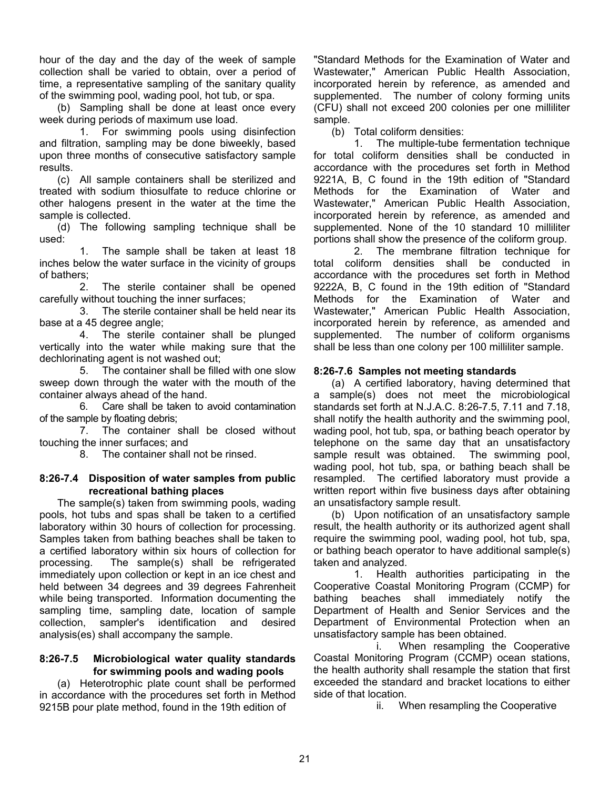hour of the day and the day of the week of sample collection shall be varied to obtain, over a period of time, a representative sampling of the sanitary quality of the swimming pool, wading pool, hot tub, or spa.

 (b) Sampling shall be done at least once every week during periods of maximum use load.

 1. For swimming pools using disinfection and filtration, sampling may be done biweekly, based upon three months of consecutive satisfactory sample results.

 (c) All sample containers shall be sterilized and treated with sodium thiosulfate to reduce chlorine or other halogens present in the water at the time the sample is collected.

 (d) The following sampling technique shall be used:

 1. The sample shall be taken at least 18 inches below the water surface in the vicinity of groups of bathers;

 2. The sterile container shall be opened carefully without touching the inner surfaces;

 3. The sterile container shall be held near its base at a 45 degree angle;

 4. The sterile container shall be plunged vertically into the water while making sure that the dechlorinating agent is not washed out;

 5. The container shall be filled with one slow sweep down through the water with the mouth of the container always ahead of the hand.

 6. Care shall be taken to avoid contamination of the sample by floating debris;

 7. The container shall be closed without touching the inner surfaces; and

8. The container shall not be rinsed.

### **8:26-7.4 Disposition of water samples from public recreational bathing places**

 The sample(s) taken from swimming pools, wading pools, hot tubs and spas shall be taken to a certified laboratory within 30 hours of collection for processing. Samples taken from bathing beaches shall be taken to a certified laboratory within six hours of collection for processing. The sample(s) shall be refrigerated immediately upon collection or kept in an ice chest and held between 34 degrees and 39 degrees Fahrenheit while being transported. Information documenting the sampling time, sampling date, location of sample collection, sampler's identification and desired analysis(es) shall accompany the sample.

### **8:26-7.5 Microbiological water quality standards for swimming pools and wading pools**

 (a) Heterotrophic plate count shall be performed in accordance with the procedures set forth in Method 9215B pour plate method, found in the 19th edition of

"Standard Methods for the Examination of Water and Wastewater," American Public Health Association, incorporated herein by reference, as amended and supplemented. The number of colony forming units (CFU) shall not exceed 200 colonies per one milliliter sample.

(b) Total coliform densities:

 1. The multiple-tube fermentation technique for total coliform densities shall be conducted in accordance with the procedures set forth in Method 9221A, B, C found in the 19th edition of "Standard Methods for the Examination of Water and Wastewater," American Public Health Association, incorporated herein by reference, as amended and supplemented. None of the 10 standard 10 milliliter portions shall show the presence of the coliform group.

 2. The membrane filtration technique for total coliform densities shall be conducted in accordance with the procedures set forth in Method 9222A, B, C found in the 19th edition of "Standard Methods for the Examination of Water and Wastewater," American Public Health Association, incorporated herein by reference, as amended and supplemented. The number of coliform organisms shall be less than one colony per 100 milliliter sample.

# **8:26-7.6 Samples not meeting standards**

 (a) A certified laboratory, having determined that a sample(s) does not meet the microbiological standards set forth at N.J.A.C. 8:26-7.5, 7.11 and 7.18, shall notify the health authority and the swimming pool, wading pool, hot tub, spa, or bathing beach operator by telephone on the same day that an unsatisfactory sample result was obtained. The swimming pool, wading pool, hot tub, spa, or bathing beach shall be resampled. The certified laboratory must provide a written report within five business days after obtaining an unsatisfactory sample result.

 (b) Upon notification of an unsatisfactory sample result, the health authority or its authorized agent shall require the swimming pool, wading pool, hot tub, spa, or bathing beach operator to have additional sample(s) taken and analyzed.

 1. Health authorities participating in the Cooperative Coastal Monitoring Program (CCMP) for bathing beaches shall immediately notify the Department of Health and Senior Services and the Department of Environmental Protection when an unsatisfactory sample has been obtained.

 i. When resampling the Cooperative Coastal Monitoring Program (CCMP) ocean stations, the health authority shall resample the station that first exceeded the standard and bracket locations to either side of that location.

ii. When resampling the Cooperative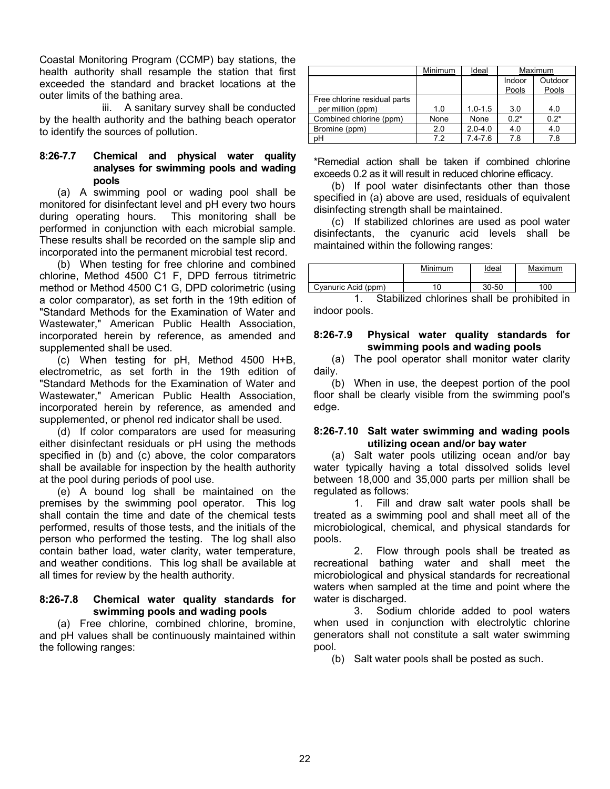Coastal Monitoring Program (CCMP) bay stations, the health authority shall resample the station that first exceeded the standard and bracket locations at the outer limits of the bathing area.

 iii. A sanitary survey shall be conducted by the health authority and the bathing beach operator to identify the sources of pollution.

# **8:26-7.7 Chemical and physical water quality analyses for swimming pools and wading pools**

 (a) A swimming pool or wading pool shall be monitored for disinfectant level and pH every two hours during operating hours. This monitoring shall be performed in conjunction with each microbial sample. These results shall be recorded on the sample slip and incorporated into the permanent microbial test record.

 (b) When testing for free chlorine and combined chlorine, Method 4500 C1 F, DPD ferrous titrimetric method or Method 4500 C1 G, DPD colorimetric (using a color comparator), as set forth in the 19th edition of "Standard Methods for the Examination of Water and Wastewater," American Public Health Association, incorporated herein by reference, as amended and supplemented shall be used.

 (c) When testing for pH, Method 4500 H+B, electrometric, as set forth in the 19th edition of "Standard Methods for the Examination of Water and Wastewater," American Public Health Association, incorporated herein by reference, as amended and supplemented, or phenol red indicator shall be used.

 (d) If color comparators are used for measuring either disinfectant residuals or pH using the methods specified in (b) and (c) above, the color comparators shall be available for inspection by the health authority at the pool during periods of pool use.

 (e) A bound log shall be maintained on the premises by the swimming pool operator. This log shall contain the time and date of the chemical tests performed, results of those tests, and the initials of the person who performed the testing. The log shall also contain bather load, water clarity, water temperature, and weather conditions. This log shall be available at all times for review by the health authority.

# **8:26-7.8 Chemical water quality standards for swimming pools and wading pools**

 (a) Free chlorine, combined chlorine, bromine, and pH values shall be continuously maintained within the following ranges:

|                                                   | Minimum | <b>Ideal</b> |                 | Maximum          |
|---------------------------------------------------|---------|--------------|-----------------|------------------|
|                                                   |         |              | Indoor<br>Pools | Outdoor<br>Pools |
| Free chlorine residual parts<br>per million (ppm) | 1.0     | $1.0 - 1.5$  | 3.0             | 4.0              |
| Combined chlorine (ppm)                           | None    | None         | $0.2*$          | $0.2*$           |
| Bromine (ppm)                                     | 2.0     | $2.0 - 4.0$  | 4.0             | 4.0              |
| pH                                                | 7.2     | $7.4 - 7.6$  | 7.8             | 7.8              |

\*Remedial action shall be taken if combined chlorine exceeds 0.2 as it will result in reduced chlorine efficacy.

 (b) If pool water disinfectants other than those specified in (a) above are used, residuals of equivalent disinfecting strength shall be maintained.

 (c) If stabilized chlorines are used as pool water disinfectants, the cyanuric acid levels shall be maintained within the following ranges:

|                     | Minimum | ldeal     | Maximum |
|---------------------|---------|-----------|---------|
| Cyanuric Acid (ppm) | 10      | $30 - 50$ | 100     |

 1. Stabilized chlorines shall be prohibited in indoor pools.

# **8:26-7.9 Physical water quality standards for swimming pools and wading pools**

 (a) The pool operator shall monitor water clarity daily.

 (b) When in use, the deepest portion of the pool floor shall be clearly visible from the swimming pool's edge.

### **8:26-7.10 Salt water swimming and wading pools utilizing ocean and/or bay water**

 (a) Salt water pools utilizing ocean and/or bay water typically having a total dissolved solids level between 18,000 and 35,000 parts per million shall be regulated as follows:

 1. Fill and draw salt water pools shall be treated as a swimming pool and shall meet all of the microbiological, chemical, and physical standards for pools.

 2. Flow through pools shall be treated as recreational bathing water and shall meet the microbiological and physical standards for recreational waters when sampled at the time and point where the water is discharged.

 3. Sodium chloride added to pool waters when used in conjunction with electrolytic chlorine generators shall not constitute a salt water swimming pool.

(b) Salt water pools shall be posted as such.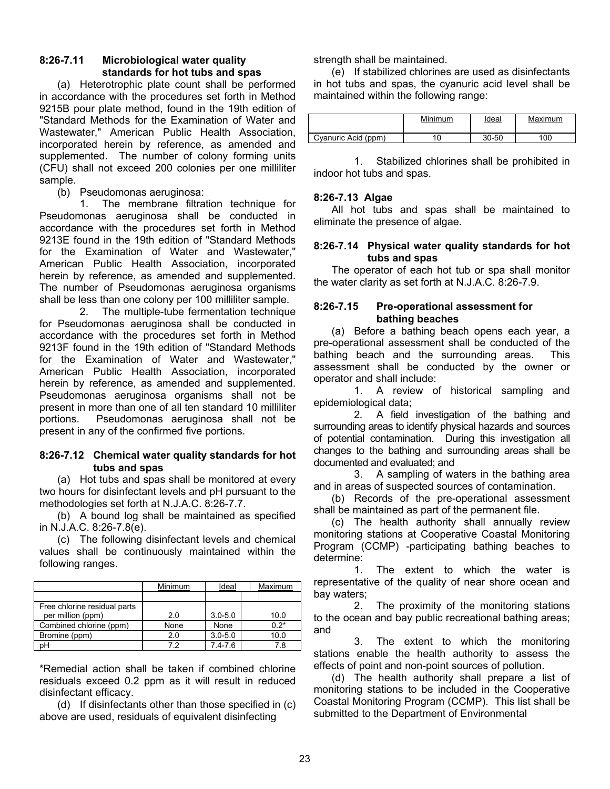# **8:26-7.11 Microbiological water quality standards for hot tubs and spas**

 (a) Heterotrophic plate count shall be performed in accordance with the procedures set forth in Method 9215B pour plate method, found in the 19th edition of "Standard Methods for the Examination of Water and Wastewater," American Public Health Association, incorporated herein by reference, as amended and supplemented. The number of colony forming units (CFU) shall not exceed 200 colonies per one milliliter sample.

(b) Pseudomonas aeruginosa:

 1. The membrane filtration technique for Pseudomonas aeruginosa shall be conducted in accordance with the procedures set forth in Method 9213E found in the 19th edition of "Standard Methods for the Examination of Water and Wastewater," American Public Health Association, incorporated herein by reference, as amended and supplemented. The number of Pseudomonas aeruginosa organisms shall be less than one colony per 100 milliliter sample.

 2. The multiple-tube fermentation technique for Pseudomonas aeruginosa shall be conducted in accordance with the procedures set forth in Method 9213F found in the 19th edition of "Standard Methods for the Examination of Water and Wastewater," American Public Health Association, incorporated herein by reference, as amended and supplemented. Pseudomonas aeruginosa organisms shall not be present in more than one of all ten standard 10 milliliter portions. Pseudomonas aeruginosa shall not be present in any of the confirmed five portions.

# **8:26-7.12 Chemical water quality standards for hot tubs and spas**

 (a) Hot tubs and spas shall be monitored at every two hours for disinfectant levels and pH pursuant to the methodologies set forth at N.J.A.C. 8:26-7.7.

 (b) A bound log shall be maintained as specified in N.J.A.C. 8:26-7.8(e).

 (c) The following disinfectant levels and chemical values shall be continuously maintained within the following ranges.

|                              | Minimum | Ideal       | Maximum |
|------------------------------|---------|-------------|---------|
|                              |         |             |         |
| Free chlorine residual parts |         |             |         |
| per million (ppm)            | 2.0     | $3.0 - 5.0$ | 10.0    |
| Combined chlorine (ppm)      | None    | None        | $0.2*$  |
| Bromine (ppm)                | 2.0     | $3.0 - 5.0$ | 10.0    |
|                              | 72      | $7.4 - 7.6$ | 7.8     |

\*Remedial action shall be taken if combined chlorine residuals exceed 0.2 ppm as it will result in reduced disinfectant efficacy.

 (d) If disinfectants other than those specified in (c) above are used, residuals of equivalent disinfecting

strength shall be maintained.

 (e) If stabilized chlorines are used as disinfectants in hot tubs and spas, the cyanuric acid level shall be maintained within the following range:

|                     | Minimum | ldeal<br>$\sim$ | Maximum |
|---------------------|---------|-----------------|---------|
| Cyanuric Acid (ppm) |         | $30 - 50$       | 100     |

 1. Stabilized chlorines shall be prohibited in indoor hot tubs and spas.

# **8:26-7.13 Algae**

 All hot tubs and spas shall be maintained to eliminate the presence of algae.

### **8:26-7.14 Physical water quality standards for hot tubs and spas**

 The operator of each hot tub or spa shall monitor the water clarity as set forth at N.J.A.C. 8:26-7.9.

# **8:26-7.15 Pre-operational assessment for bathing beaches**

 (a) Before a bathing beach opens each year, a pre-operational assessment shall be conducted of the bathing beach and the surrounding areas. This assessment shall be conducted by the owner or operator and shall include:

 1. A review of historical sampling and epidemiological data;

 2. A field investigation of the bathing and surrounding areas to identify physical hazards and sources of potential contamination. During this investigation all changes to the bathing and surrounding areas shall be documented and evaluated; and

 3. A sampling of waters in the bathing area and in areas of suspected sources of contamination.

 (b) Records of the pre-operational assessment shall be maintained as part of the permanent file.

 (c) The health authority shall annually review monitoring stations at Cooperative Coastal Monitoring Program (CCMP) -participating bathing beaches to determine:

 1. The extent to which the water is representative of the quality of near shore ocean and bay waters;

 2. The proximity of the monitoring stations to the ocean and bay public recreational bathing areas; and

 3. The extent to which the monitoring stations enable the health authority to assess the effects of point and non-point sources of pollution.

 (d) The health authority shall prepare a list of monitoring stations to be included in the Cooperative Coastal Monitoring Program (CCMP). This list shall be submitted to the Department of Environmental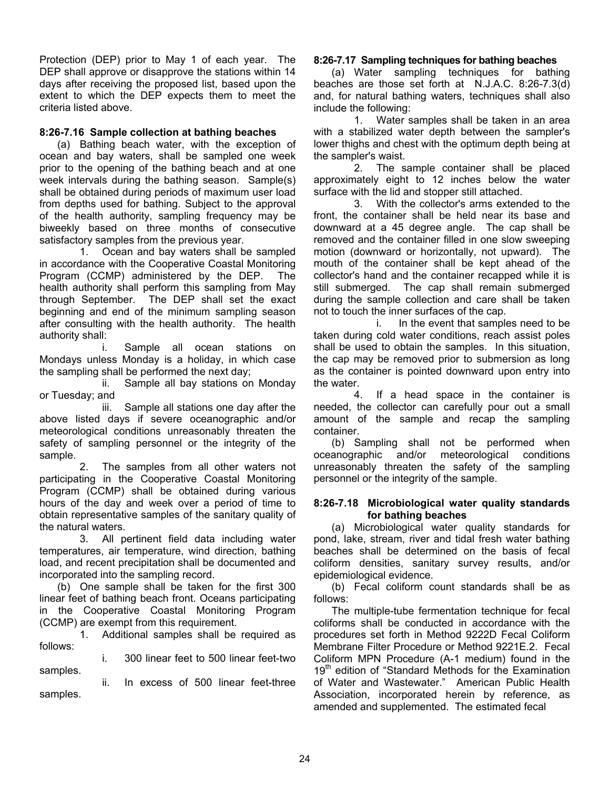Protection (DEP) prior to May 1 of each year. The DEP shall approve or disapprove the stations within 14 days after receiving the proposed list, based upon the extent to which the DEP expects them to meet the criteria listed above.

# **8:26-7.16 Sample collection at bathing beaches**

 (a) Bathing beach water, with the exception of ocean and bay waters, shall be sampled one week prior to the opening of the bathing beach and at one week intervals during the bathing season. Sample(s) shall be obtained during periods of maximum user load from depths used for bathing. Subject to the approval of the health authority, sampling frequency may be biweekly based on three months of consecutive satisfactory samples from the previous year.

 1. Ocean and bay waters shall be sampled in accordance with the Cooperative Coastal Monitoring Program (CCMP) administered by the DEP. The health authority shall perform this sampling from May through September. The DEP shall set the exact beginning and end of the minimum sampling season after consulting with the health authority. The health authority shall:

 i. Sample all ocean stations on Mondays unless Monday is a holiday, in which case the sampling shall be performed the next day;

 ii. Sample all bay stations on Monday or Tuesday; and

 iii. Sample all stations one day after the above listed days if severe oceanographic and/or meteorological conditions unreasonably threaten the safety of sampling personnel or the integrity of the sample.

 2. The samples from all other waters not participating in the Cooperative Coastal Monitoring Program (CCMP) shall be obtained during various hours of the day and week over a period of time to obtain representative samples of the sanitary quality of the natural waters.

 3. All pertinent field data including water temperatures, air temperature, wind direction, bathing load, and recent precipitation shall be documented and incorporated into the sampling record.

 (b) One sample shall be taken for the first 300 linear feet of bathing beach front. Oceans participating in the Cooperative Coastal Monitoring Program (CCMP) are exempt from this requirement.

 1. Additional samples shall be required as follows:

 i. 300 linear feet to 500 linear feet-two samples.

 ii. In excess of 500 linear feet-three samples.

# **8:26-7.17 Sampling techniques for bathing beaches**

 (a) Water sampling techniques for bathing beaches are those set forth at N.J.A.C. 8:26-7.3(d) and, for natural bathing waters, techniques shall also include the following:

 1. Water samples shall be taken in an area with a stabilized water depth between the sampler's lower thighs and chest with the optimum depth being at the sampler's waist.

 2. The sample container shall be placed approximately eight to 12 inches below the water surface with the lid and stopper still attached.

 3. With the collector's arms extended to the front, the container shall be held near its base and downward at a 45 degree angle. The cap shall be removed and the container filled in one slow sweeping motion (downward or horizontally, not upward). The mouth of the container shall be kept ahead of the collector's hand and the container recapped while it is still submerged. The cap shall remain submerged during the sample collection and care shall be taken not to touch the inner surfaces of the cap.

 i. In the event that samples need to be taken during cold water conditions, reach assist poles shall be used to obtain the samples. In this situation, the cap may be removed prior to submersion as long as the container is pointed downward upon entry into the water.

 4. If a head space in the container is needed, the collector can carefully pour out a small amount of the sample and recap the sampling container.

 (b) Sampling shall not be performed when oceanographic and/or meteorological conditions unreasonably threaten the safety of the sampling personnel or the integrity of the sample.

# **8:26-7.18 Microbiological water quality standards for bathing beaches**

 (a) Microbiological water quality standards for pond, lake, stream, river and tidal fresh water bathing beaches shall be determined on the basis of fecal coliform densities, sanitary survey results, and/or epidemiological evidence.

 (b) Fecal coliform count standards shall be as follows:

 The multiple-tube fermentation technique for fecal coliforms shall be conducted in accordance with the procedures set forth in Method 9222D Fecal Coliform Membrane Filter Procedure or Method 9221E.2. Fecal Coliform MPN Procedure (A-1 medium) found in the 19<sup>th</sup> edition of "Standard Methods for the Examination of Water and Wastewater." American Public Health Association, incorporated herein by reference, as amended and supplemented. The estimated fecal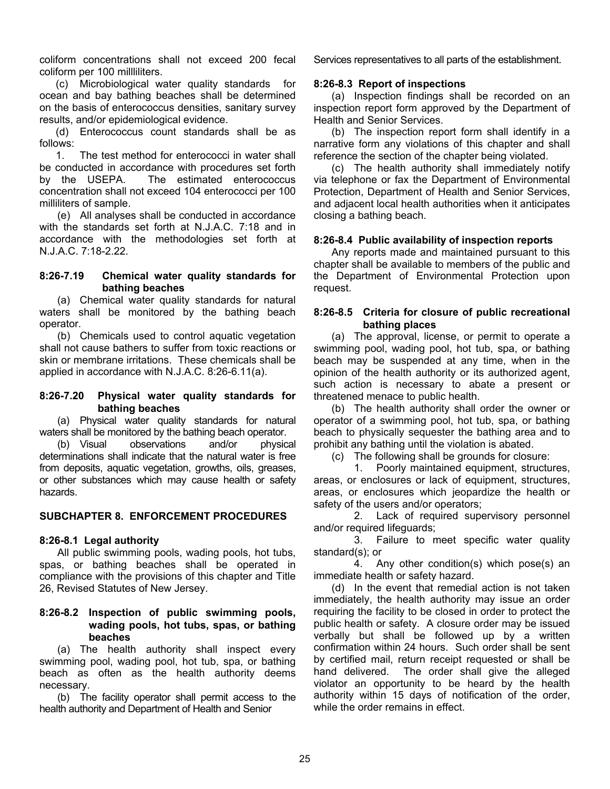coliform concentrations shall not exceed 200 fecal coliform per 100 millliliters.

(c) Microbiological water quality standards for ocean and bay bathing beaches shall be determined on the basis of enterococcus densities, sanitary survey results, and/or epidemiological evidence.

(d) Enterococcus count standards shall be as follows:

1. The test method for enterococci in water shall be conducted in accordance with procedures set forth by the USEPA. The estimated enterococcus concentration shall not exceed 104 enterococci per 100 milliliters of sample.

 (e) All analyses shall be conducted in accordance with the standards set forth at N.J.A.C. 7:18 and in accordance with the methodologies set forth at N.J.A.C. 7:18-2.22.

### **8:26-7.19 Chemical water quality standards for bathing beaches**

 (a) Chemical water quality standards for natural waters shall be monitored by the bathing beach operator.

 (b) Chemicals used to control aquatic vegetation shall not cause bathers to suffer from toxic reactions or skin or membrane irritations. These chemicals shall be applied in accordance with N.J.A.C. 8:26-6.11(a).

### **8:26-7.20 Physical water quality standards for bathing beaches**

 (a) Physical water quality standards for natural waters shall be monitored by the bathing beach operator.

 (b) Visual observations and/or physical determinations shall indicate that the natural water is free from deposits, aquatic vegetation, growths, oils, greases, or other substances which may cause health or safety hazards.

# **SUBCHAPTER 8. ENFORCEMENT PROCEDURES**

# **8:26-8.1 Legal authority**

 All public swimming pools, wading pools, hot tubs, spas, or bathing beaches shall be operated in compliance with the provisions of this chapter and Title 26, Revised Statutes of New Jersey.

# **8:26-8.2 Inspection of public swimming pools, wading pools, hot tubs, spas, or bathing beaches**

 (a) The health authority shall inspect every swimming pool, wading pool, hot tub, spa, or bathing beach as often as the health authority deems necessary.

 (b) The facility operator shall permit access to the health authority and Department of Health and Senior

Services representatives to all parts of the establishment.

### **8:26-8.3 Report of inspections**

 (a) Inspection findings shall be recorded on an inspection report form approved by the Department of Health and Senior Services.

 (b) The inspection report form shall identify in a narrative form any violations of this chapter and shall reference the section of the chapter being violated.

 (c) The health authority shall immediately notify via telephone or fax the Department of Environmental Protection, Department of Health and Senior Services, and adjacent local health authorities when it anticipates closing a bathing beach.

### **8:26-8.4 Public availability of inspection reports**

 Any reports made and maintained pursuant to this chapter shall be available to members of the public and the Department of Environmental Protection upon request.

### **8:26-8.5 Criteria for closure of public recreational bathing places**

 (a) The approval, license, or permit to operate a swimming pool, wading pool, hot tub, spa, or bathing beach may be suspended at any time, when in the opinion of the health authority or its authorized agent, such action is necessary to abate a present or threatened menace to public health.

 (b) The health authority shall order the owner or operator of a swimming pool, hot tub, spa, or bathing beach to physically sequester the bathing area and to prohibit any bathing until the violation is abated.

(c) The following shall be grounds for closure:

 1. Poorly maintained equipment, structures, areas, or enclosures or lack of equipment, structures, areas, or enclosures which jeopardize the health or safety of the users and/or operators;

 2. Lack of required supervisory personnel and/or required lifeguards:

 3. Failure to meet specific water quality standard(s); or

 4. Any other condition(s) which pose(s) an immediate health or safety hazard.

 (d) In the event that remedial action is not taken immediately, the health authority may issue an order requiring the facility to be closed in order to protect the public health or safety. A closure order may be issued verbally but shall be followed up by a written confirmation within 24 hours. Such order shall be sent by certified mail, return receipt requested or shall be hand delivered. The order shall give the alleged violator an opportunity to be heard by the health authority within 15 days of notification of the order, while the order remains in effect.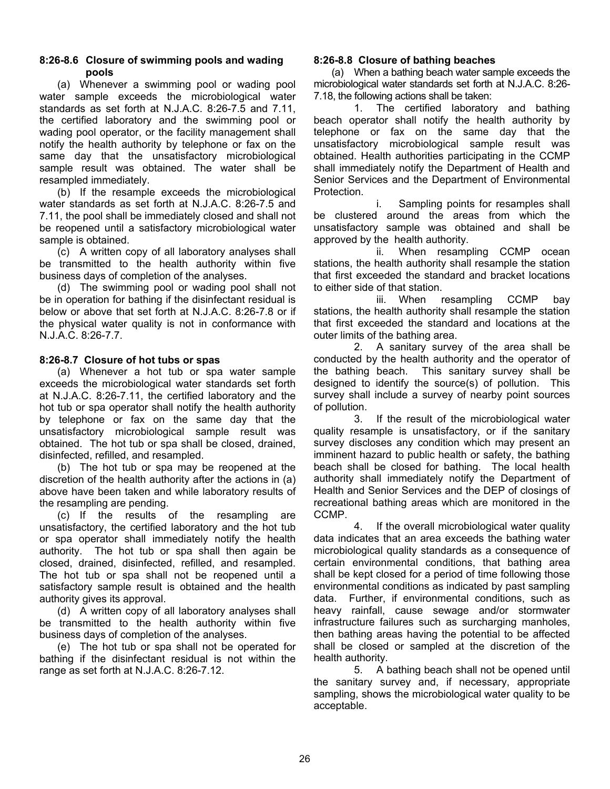# **8:26-8.6 Closure of swimming pools and wading pools**

 (a) Whenever a swimming pool or wading pool water sample exceeds the microbiological water standards as set forth at N.J.A.C. 8:26-7.5 and 7.11, the certified laboratory and the swimming pool or wading pool operator, or the facility management shall notify the health authority by telephone or fax on the same day that the unsatisfactory microbiological sample result was obtained. The water shall be resampled immediately.

 (b) If the resample exceeds the microbiological water standards as set forth at N.J.A.C. 8:26-7.5 and 7.11, the pool shall be immediately closed and shall not be reopened until a satisfactory microbiological water sample is obtained.

 (c) A written copy of all laboratory analyses shall be transmitted to the health authority within five business days of completion of the analyses.

 (d) The swimming pool or wading pool shall not be in operation for bathing if the disinfectant residual is below or above that set forth at N.J.A.C. 8:26-7.8 or if the physical water quality is not in conformance with N.J.A.C. 8:26-7.7.

# **8:26-8.7 Closure of hot tubs or spas**

 (a) Whenever a hot tub or spa water sample exceeds the microbiological water standards set forth at N.J.A.C. 8:26-7.11, the certified laboratory and the hot tub or spa operator shall notify the health authority by telephone or fax on the same day that the unsatisfactory microbiological sample result was obtained. The hot tub or spa shall be closed, drained, disinfected, refilled, and resampled.

 (b) The hot tub or spa may be reopened at the discretion of the health authority after the actions in (a) above have been taken and while laboratory results of the resampling are pending.

 (c) If the results of the resampling are unsatisfactory, the certified laboratory and the hot tub or spa operator shall immediately notify the health authority. The hot tub or spa shall then again be closed, drained, disinfected, refilled, and resampled. The hot tub or spa shall not be reopened until a satisfactory sample result is obtained and the health authority gives its approval.

 (d) A written copy of all laboratory analyses shall be transmitted to the health authority within five business days of completion of the analyses.

 (e) The hot tub or spa shall not be operated for bathing if the disinfectant residual is not within the range as set forth at N.J.A.C. 8:26-7.12.

# **8:26-8.8 Closure of bathing beaches**

 (a) When a bathing beach water sample exceeds the microbiological water standards set forth at N.J.A.C. 8:26- 7.18, the following actions shall be taken:

 1. The certified laboratory and bathing beach operator shall notify the health authority by telephone or fax on the same day that the unsatisfactory microbiological sample result was obtained. Health authorities participating in the CCMP shall immediately notify the Department of Health and Senior Services and the Department of Environmental Protection.

 i. Sampling points for resamples shall be clustered around the areas from which the unsatisfactory sample was obtained and shall be approved by the health authority.

 ii. When resampling CCMP ocean stations, the health authority shall resample the station that first exceeded the standard and bracket locations to either side of that station.

 iii. When resampling CCMP bay stations, the health authority shall resample the station that first exceeded the standard and locations at the outer limits of the bathing area.

 2. A sanitary survey of the area shall be conducted by the health authority and the operator of the bathing beach. This sanitary survey shall be designed to identify the source(s) of pollution. This survey shall include a survey of nearby point sources of pollution.

 3. If the result of the microbiological water quality resample is unsatisfactory, or if the sanitary survey discloses any condition which may present an imminent hazard to public health or safety, the bathing beach shall be closed for bathing. The local health authority shall immediately notify the Department of Health and Senior Services and the DEP of closings of recreational bathing areas which are monitored in the CCMP.

 4. If the overall microbiological water quality data indicates that an area exceeds the bathing water microbiological quality standards as a consequence of certain environmental conditions, that bathing area shall be kept closed for a period of time following those environmental conditions as indicated by past sampling data. Further, if environmental conditions, such as heavy rainfall, cause sewage and/or stormwater infrastructure failures such as surcharging manholes, then bathing areas having the potential to be affected shall be closed or sampled at the discretion of the health authority.

 5. A bathing beach shall not be opened until the sanitary survey and, if necessary, appropriate sampling, shows the microbiological water quality to be acceptable.